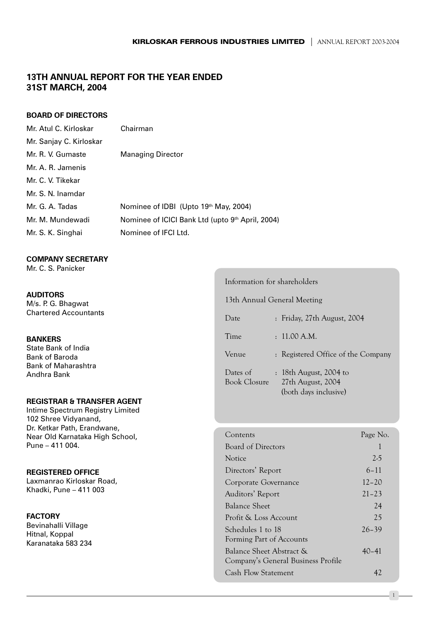# **13TH ANNUAL REPORT FOR THE YEAR ENDED** 31ST MARCH, 2004

### **BOARD OF DIRECTORS**

| Mr. Atul C. Kirloskar   | Chairman                                         |
|-------------------------|--------------------------------------------------|
| Mr. Sanjay C. Kirloskar |                                                  |
| Mr. R. V. Gumaste       | <b>Managing Director</b>                         |
| Mr. A. R. Jamenis       |                                                  |
| Mr. C. V. Tikekar       |                                                  |
| Mr. S. N. Inamdar       |                                                  |
| Mr. G. A. Tadas         | Nominee of IDBI (Upto 19th May, 2004)            |
| Mr. M. Mundewadi        | Nominee of ICICI Bank Ltd (upto 9th April, 2004) |
| Mr. S. K. Singhai       | Nominee of IFCI Ltd.                             |
|                         |                                                  |

#### **COMPANY SECRETARY**

Mr. C. S. Panicker

# **AUDITORS** M/s. P. G. Bhagwat

**Chartered Accountants** 

### **BANKERS**

State Bank of India **Bank of Baroda Bank of Maharashtra** Andhra Bank

# **REGISTRAR & TRANSFER AGENT**

Intime Spectrum Registry Limited 102 Shree Vidyanand, Dr. Ketkar Path, Erandwane, Near Old Karnataka High School, Pune - 411 004.

### **REGISTERED OFFICE**

Laxmanrao Kirloskar Road, Khadki, Pune - 411 003

### **FACTORY**

Bevinahalli Village Hitnal, Koppal Karanataka 583 234

### Information for shareholders

13th Annual General Meeting

| Date                            | : Friday, 27th August, 2004                                             |
|---------------------------------|-------------------------------------------------------------------------|
| Time                            | : 11.00 A.M.                                                            |
| Venue                           | : Registered Office of the Company                                      |
| Dates of<br><b>Book Closure</b> | $: 18$ th August, 2004 to<br>27th August, 2004<br>(both days inclusive) |

| Contents                           | Page No.  |
|------------------------------------|-----------|
| Board of Directors                 | 1         |
| Notice                             | $2-5$     |
| Directors' Report                  | $6 - 11$  |
| Corporate Governance               | $12 - 20$ |
| Auditors' Report                   | $21 - 23$ |
| <b>Balance Sheet</b>               | 24        |
| Profit & Loss Account              | 2.5       |
| Schedules 1 to 18                  | $26 - 39$ |
| Forming Part of Accounts           |           |
| Balance Sheet Abstract &           | $40 - 41$ |
| Company's General Business Profile |           |
| <b>Cash Flow Statement</b>         | 42        |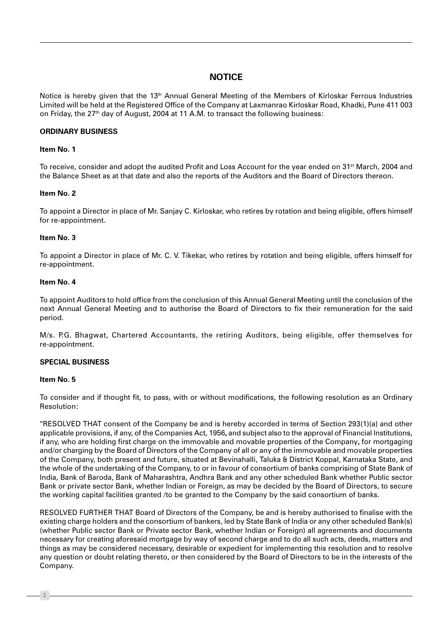# **NOTICE**

Notice is hereby given that the 13<sup>th</sup> Annual General Meeting of the Members of Kirloskar Ferrous Industries Limited will be held at the Registered Office of the Company at Laxmanrao Kirloskar Road, Khadki, Pune 411 003 on Friday, the 27<sup>th</sup> day of August, 2004 at 11 A.M. to transact the following business:

#### **ORDINARY BUSINESS**

#### Item No. 1

To receive, consider and adopt the audited Profit and Loss Account for the year ended on 31<sup>st</sup> March, 2004 and the Balance Sheet as at that date and also the reports of the Auditors and the Board of Directors thereon.

#### Item No. 2

To appoint a Director in place of Mr. Sanjay C. Kirloskar, who retires by rotation and being eligible, offers himself for re-appointment.

#### Item No. 3

To appoint a Director in place of Mr. C. V. Tikekar, who retires by rotation and being eligible, offers himself for re-appointment.

#### Item No. 4

To appoint Auditors to hold office from the conclusion of this Annual General Meeting until the conclusion of the next Annual General Meeting and to authorise the Board of Directors to fix their remuneration for the said period.

M/s. P.G. Bhagwat, Chartered Accountants, the retiring Auditors, being eligible, offer themselves for re-appointment.

### **SPECIAL BUSINESS**

#### Item No. 5

To consider and if thought fit, to pass, with or without modifications, the following resolution as an Ordinary Resolution:

"RESOLVED THAT consent of the Company be and is hereby accorded in terms of Section 293(1)(a) and other applicable provisions, if any, of the Companies Act, 1956, and subject also to the approval of Financial Institutions, if any, who are holding first charge on the immovable and movable properties of the Company, for mortgaging and/or charging by the Board of Directors of the Company of all or any of the immovable and movable properties of the Company, both present and future, situated at Bevinahalli, Taluka & District Koppal, Karnataka State, and the whole of the undertaking of the Company, to or in favour of consortium of banks comprising of State Bank of India, Bank of Baroda, Bank of Maharashtra, Andhra Bank and any other scheduled Bank whether Public sector Bank or private sector Bank, whether Indian or Foreign, as may be decided by the Board of Directors, to secure the working capital facilities granted /to be granted to the Company by the said consortium of banks.

RESOLVED FURTHER THAT Board of Directors of the Company, be and is hereby authorised to finalise with the existing charge holders and the consortium of bankers, led by State Bank of India or any other scheduled Bank(s) (whether Public sector Bank or Private sector Bank, whether Indian or Foreign) all agreements and documents necessary for creating aforesaid mortgage by way of second charge and to do all such acts, deeds, matters and things as may be considered necessary, desirable or expedient for implementing this resolution and to resolve any question or doubt relating thereto, or then considered by the Board of Directors to be in the interests of the Company.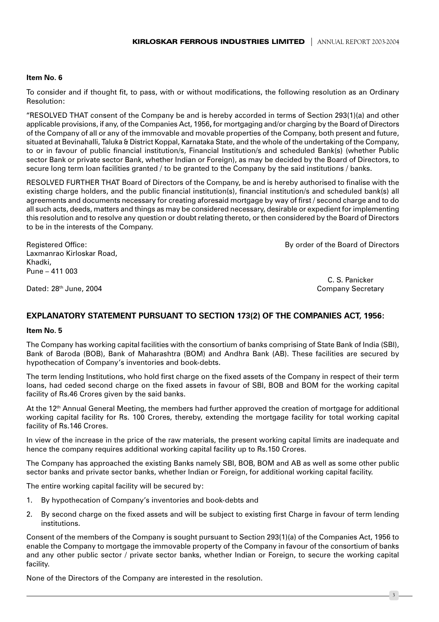#### Item No. 6

To consider and if thought fit, to pass, with or without modifications, the following resolution as an Ordinary Resolution:

"RESOLVED THAT consent of the Company be and is hereby accorded in terms of Section 293(1)(a) and other applicable provisions, if any, of the Companies Act, 1956, for mortgaging and/or charging by the Board of Directors of the Company of all or any of the immovable and movable properties of the Company, both present and future, situated at Bevinahalli, Taluka & District Koppal, Karnataka State, and the whole of the undertaking of the Company, to or in favour of public financial institution/s, Financial Institution/s and scheduled Bank(s) (whether Public sector Bank or private sector Bank, whether Indian or Foreign), as may be decided by the Board of Directors, to secure long term loan facilities granted / to be granted to the Company by the said institutions / banks.

RESOLVED FURTHER THAT Board of Directors of the Company, be and is hereby authorised to finalise with the existing charge holders, and the public financial institution(s), financial institution/s and scheduled bank(s) all agreements and documents necessary for creating aforesaid mortgage by way of first / second charge and to do all such acts, deeds, matters and things as may be considered necessary, desirable or expedient for implementing this resolution and to resolve any question or doubt relating thereto, or then considered by the Board of Directors to be in the interests of the Company.

**Registered Office:** Laxmanrao Kirloskar Road, Khadki. Pune  $-411003$ 

By order of the Board of Directors

Dated: 28<sup>th</sup> June, 2004

C. S. Panicker **Company Secretary** 

 $3 -$ 

# **EXPLANATORY STATEMENT PURSUANT TO SECTION 173(2) OF THE COMPANIES ACT, 1956:**

### Item No. 5

The Company has working capital facilities with the consortium of banks comprising of State Bank of India (SBI), Bank of Baroda (BOB), Bank of Maharashtra (BOM) and Andhra Bank (AB). These facilities are secured by hypothecation of Company's inventories and book-debts.

The term lending Institutions, who hold first charge on the fixed assets of the Company in respect of their term loans, had ceded second charge on the fixed assets in favour of SBI, BOB and BOM for the working capital facility of Rs.46 Crores given by the said banks.

At the 12<sup>th</sup> Annual General Meeting, the members had further approved the creation of mortgage for additional working capital facility for Rs. 100 Crores, thereby, extending the mortgage facility for total working capital facility of Rs.146 Crores.

In view of the increase in the price of the raw materials, the present working capital limits are inadequate and hence the company requires additional working capital facility up to Rs.150 Crores.

The Company has approached the existing Banks namely SBI, BOB, BOM and AB as well as some other public sector banks and private sector banks, whether Indian or Foreign, for additional working capital facility.

The entire working capital facility will be secured by:

- By hypothecation of Company's inventories and book-debts and  $\mathbf{1}$
- By second charge on the fixed assets and will be subject to existing first Charge in fayour of term lending  $2.$ institutions

Consent of the members of the Company is sought pursuant to Section 293(1)(a) of the Companies Act, 1956 to enable the Company to mortgage the immovable property of the Company in favour of the consortium of banks and any other public sector / private sector banks, whether Indian or Foreign, to secure the working capital facility.

None of the Directors of the Company are interested in the resolution.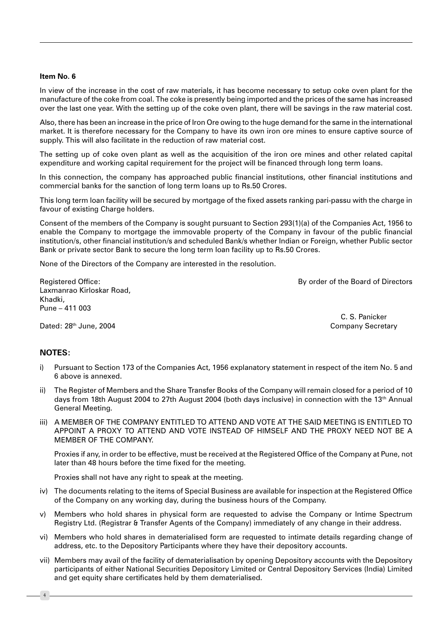#### Item No. 6

In view of the increase in the cost of raw materials, it has become necessary to setup coke oven plant for the manufacture of the coke from coal. The coke is presently being imported and the prices of the same has increased over the last one year. With the setting up of the coke oven plant, there will be savings in the raw material cost.

Also, there has been an increase in the price of Iron Ore owing to the huge demand for the same in the international market. It is therefore necessary for the Company to have its own iron ore mines to ensure captive source of supply. This will also facilitate in the reduction of raw material cost.

The setting up of coke oven plant as well as the acquisition of the iron ore mines and other related capital expenditure and working capital requirement for the project will be financed through long term loans.

In this connection, the company has approached public financial institutions, other financial institutions and commercial banks for the sanction of long term loans up to Rs.50 Crores.

This long term loan facility will be secured by mortgage of the fixed assets ranking pari-passu with the charge in favour of existing Charge holders.

Consent of the members of the Company is sought pursuant to Section 293(1)(a) of the Companies Act, 1956 to enable the Company to mortgage the immovable property of the Company in favour of the public financial institution/s, other financial institution/s and scheduled Bank/s whether Indian or Foreign, whether Public sector Bank or private sector Bank to secure the long term loan facility up to Rs.50 Crores.

None of the Directors of the Company are interested in the resolution.

By order of the Board of Directors

**Registered Office:** Laxmanrao Kirloskar Road, Khadki, Pune - 411 003

> C. S. Panicker **Company Secretary**

Dated: 28th June, 2004

### NOTES:

- Pursuant to Section 173 of the Companies Act, 1956 explanatory statement in respect of the item No. 5 and i) 6 above is annexed.
- ii) The Register of Members and the Share Transfer Books of the Company will remain closed for a period of 10 days from 18th August 2004 to 27th August 2004 (both days inclusive) in connection with the 13<sup>th</sup> Annual General Meeting.
- iii) A MEMBER OF THE COMPANY ENTITLED TO ATTEND AND VOTE AT THE SAID MEETING IS ENTITLED TO APPOINT A PROXY TO ATTEND AND VOTE INSTEAD OF HIMSELF AND THE PROXY NEED NOT BE A MEMBER OF THE COMPANY.

Proxies if any, in order to be effective, must be received at the Registered Office of the Company at Pune, not later than 48 hours before the time fixed for the meeting.

Proxies shall not have any right to speak at the meeting.

- iv) The documents relating to the items of Special Business are available for inspection at the Registered Office of the Company on any working day, during the business hours of the Company.
- Members who hold shares in physical form are requested to advise the Company or Intime Spectrum  $\vee$ Registry Ltd. (Registrar & Transfer Agents of the Company) immediately of any change in their address.
- vi) Members who hold shares in dematerialised form are requested to intimate details regarding change of address, etc. to the Depository Participants where they have their depository accounts.
- vii) Members may avail of the facility of dematerialisation by opening Depository accounts with the Depository participants of either National Securities Depository Limited or Central Depository Services (India) Limited and get equity share certificates held by them dematerialised.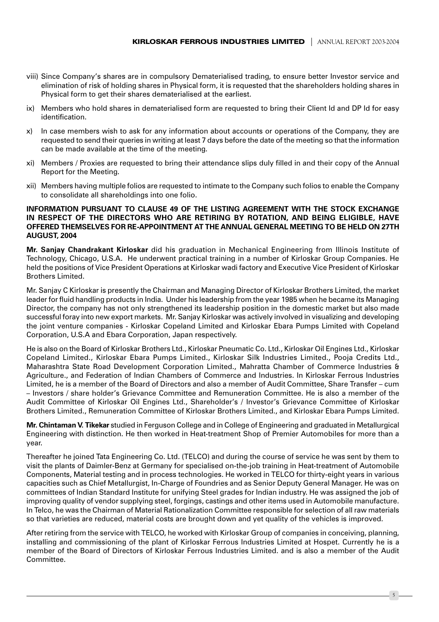- viii) Since Company's shares are in compulsory Dematerialised trading, to ensure better Investor service and elimination of risk of holding shares in Physical form, it is requested that the shareholders holding shares in Physical form to get their shares dematerialised at the earliest.
- ix) Members who hold shares in dematerialised form are requested to bring their Client Id and DP Id for easy identification.
- In case members wish to ask for any information about accounts or operations of the Company, they are  $x$ ) requested to send their queries in writing at least 7 days before the date of the meeting so that the information can be made available at the time of the meeting.
- xi) Members / Proxies are requested to bring their attendance slips duly filled in and their copy of the Annual Report for the Meeting.
- xii) Members having multiple folios are requested to intimate to the Company such folios to enable the Company to consolidate all shareholdings into one folio.

#### INFORMATION PURSUANT TO CLAUSE 49 OF THE LISTING AGREEMENT WITH THE STOCK EXCHANGE IN RESPECT OF THE DIRECTORS WHO ARE RETIRING BY ROTATION, AND BEING ELIGIBLE, HAVE OFFERED THEMSELVES FOR RE-APPOINTMENT AT THE ANNUAL GENERAL MEETING TO BE HELD ON 27TH AUGUST, 2004

Mr. Sanjay Chandrakant Kirloskar did his graduation in Mechanical Engineering from Illinois Institute of Technology, Chicago, U.S.A. He underwent practical training in a number of Kirloskar Group Companies. He held the positions of Vice President Operations at Kirloskar wadi factory and Executive Vice President of Kirloskar Brothers Limited.

Mr. Sanjay C Kirloskar is presently the Chairman and Managing Director of Kirloskar Brothers Limited, the market leader for fluid handling products in India. Under his leadership from the year 1985 when he became its Managing Director, the company has not only strengthened its leadership position in the domestic market but also made successful foray into new export markets. Mr. Sanjay Kirloskar was actively involved in visualizing and developing the joint venture companies - Kirloskar Copeland Limited and Kirloskar Ebara Pumps Limited with Copeland Corporation, U.S.A and Ebara Corporation, Japan respectively.

He is also on the Board of Kirloskar Brothers Ltd., Kirloskar Pneumatic Co. Ltd., Kirloskar Oil Engines Ltd., Kirloskar Copeland Limited., Kirloskar Ebara Pumps Limited., Kirloskar Silk Industries Limited., Pooja Credits Ltd., Maharashtra State Road Development Corporation Limited., Mahratta Chamber of Commerce Industries & Agriculture., and Federation of Indian Chambers of Commerce and Industries. In Kirloskar Ferrous Industries Limited, he is a member of the Board of Directors and also a member of Audit Committee, Share Transfer - cum - Investors / share holder's Grievance Committee and Remuneration Committee. He is also a member of the Audit Committee of Kirloskar Oil Engines Ltd., Shareholder's / Investor's Grievance Committee of Kirloskar Brothers Limited., Remuneration Committee of Kirloskar Brothers Limited., and Kirloskar Ebara Pumps Limited.

Mr. Chintaman V. Tikekar studied in Ferguson College and in College of Engineering and graduated in Metallurgical Engineering with distinction. He then worked in Heat-treatment Shop of Premier Automobiles for more than a year.

Thereafter he joined Tata Engineering Co. Ltd. (TELCO) and during the course of service he was sent by them to visit the plants of Daimler-Benz at Germany for specialised on-the-iob training in Heat-treatment of Automobile Components. Material testing and in process technologies. He worked in TELCO for thirty-eight vears in various capacities such as Chief Metallurgist, In-Charge of Foundries and as Senior Deputy General Manager. He was on committees of Indian Standard Institute for unifying Steel grades for Indian industry. He was assigned the job of improving quality of vendor supplying steel, forgings, castings and other items used in Automobile manufacture. In Telco, he was the Chairman of Material Rationalization Committee responsible for selection of all raw materials so that varieties are reduced, material costs are brought down and yet quality of the vehicles is improved.

After retiring from the service with TELCO, he worked with Kirloskar Group of companies in conceiving, planning, installing and commissioning of the plant of Kirloskar Ferrous Industries Limited at Hospet. Currently he is a member of the Board of Directors of Kirloskar Ferrous Industries Limited. and is also a member of the Audit Committee.

 $5<sup>5</sup>$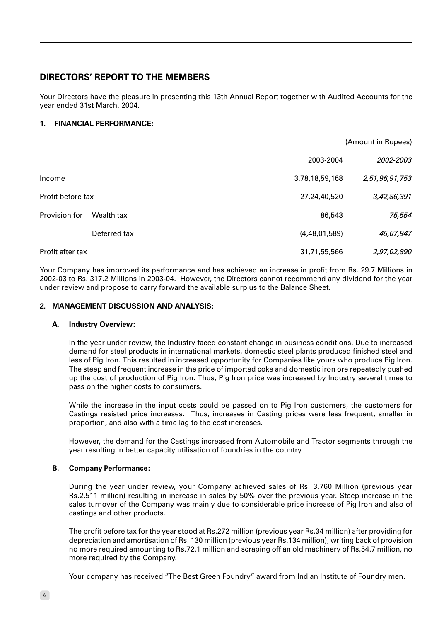# **DIRECTORS' REPORT TO THE MEMBERS**

Your Directors have the pleasure in presenting this 13th Annual Report together with Audited Accounts for the year ended 31st March, 2004.

# 1. FINANCIAL PERFORMANCE:

|                           |              |                | (Amount in Rupees) |
|---------------------------|--------------|----------------|--------------------|
|                           |              | 2003-2004      | 2002-2003          |
| Income                    |              | 3,78,18,59,168 | 2,51,96,91,753     |
| Profit before tax         |              | 27,24,40,520   | 3,42,86,391        |
| Provision for: Wealth tax |              | 86,543         | 75,554             |
|                           | Deferred tax | (4,48,01,589)  | 45,07,947          |
| Profit after tax          |              | 31,71,55,566   | 2,97,02,890        |

Your Company has improved its performance and has achieved an increase in profit from Rs. 29.7 Millions in 2002-03 to Rs. 317.2 Millions in 2003-04. However, the Directors cannot recommend any dividend for the year under review and propose to carry forward the available surplus to the Balance Sheet.

### 2. MANAGEMENT DISCUSSION AND ANALYSIS:

### A. Industry Overview:

In the year under review, the Industry faced constant change in business conditions. Due to increased demand for steel products in international markets, domestic steel plants produced finished steel and less of Pig Iron. This resulted in increased opportunity for Companies like yours who produce Pig Iron. The steep and frequent increase in the price of imported coke and domestic iron ore repeatedly pushed up the cost of production of Pig Iron. Thus, Pig Iron price was increased by Industry several times to pass on the higher costs to consumers.

While the increase in the input costs could be passed on to Pig Iron customers, the customers for Castings resisted price increases. Thus, increases in Casting prices were less frequent, smaller in proportion, and also with a time lag to the cost increases.

However, the demand for the Castings increased from Automobile and Tractor segments through the year resulting in better capacity utilisation of foundries in the country.

### **B.** Company Performance:

During the year under review, your Company achieved sales of Rs. 3,760 Million (previous year Rs.2,511 million) resulting in increase in sales by 50% over the previous year. Steep increase in the sales turnover of the Company was mainly due to considerable price increase of Pig Iron and also of castings and other products.

The profit before tax for the year stood at Rs.272 million (previous year Rs.34 million) after providing for depreciation and amortisation of Rs. 130 million (previous year Rs.134 million), writing back of provision no more required amounting to Rs.72.1 million and scraping off an old machinery of Rs.54.7 million, no more required by the Company.

Your company has received "The Best Green Foundry" award from Indian Institute of Foundry men.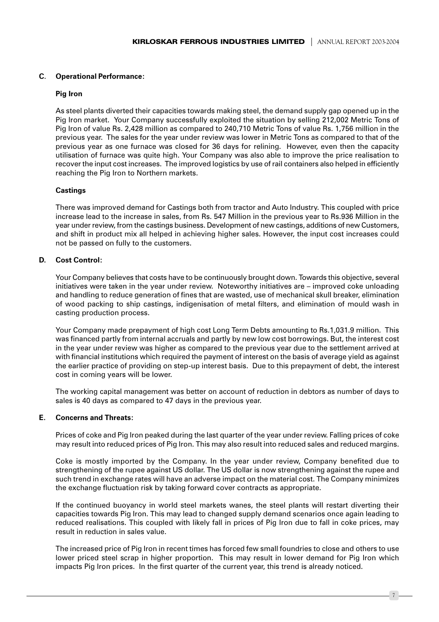#### $C_{1}$ **Operational Performance:**

#### **Pig Iron**

As steel plants diverted their capacities towards making steel, the demand supply gap opened up in the Pig Iron market. Your Company successfully exploited the situation by selling 212,002 Metric Tons of Pig Iron of value Rs. 2,428 million as compared to 240,710 Metric Tons of value Rs. 1,756 million in the previous year. The sales for the year under review was lower in Metric Tons as compared to that of the previous year as one furnace was closed for 36 days for relining. However, even then the capacity utilisation of furnace was quite high. Your Company was also able to improve the price realisation to recover the input cost increases. The improved logistics by use of rail containers also helped in efficiently reaching the Pig Iron to Northern markets.

#### **Castings**

There was improved demand for Castings both from tractor and Auto Industry. This coupled with price increase lead to the increase in sales, from Rs. 547 Million in the previous year to Rs.936 Million in the year under review, from the castings business. Development of new castings, additions of new Customers, and shift in product mix all helped in achieving higher sales. However, the input cost increases could not be passed on fully to the customers.

#### D. **Cost Control:**

Your Company believes that costs have to be continuously brought down. Towards this objective, several initiatives were taken in the year under review. Noteworthy initiatives are – improved coke unloading and handling to reduce generation of fines that are wasted, use of mechanical skull breaker, elimination of wood packing to ship castings, indigenisation of metal filters, and elimination of mould wash in casting production process.

Your Company made prepayment of high cost Long Term Debts amounting to Rs.1,031.9 million. This was financed partly from internal accruals and partly by new low cost borrowings. But, the interest cost in the year under review was higher as compared to the previous year due to the settlement arrived at with financial institutions which required the payment of interest on the basis of average yield as against the earlier practice of providing on step-up interest basis. Due to this prepayment of debt, the interest cost in coming years will be lower.

The working capital management was better on account of reduction in debtors as number of days to sales is 40 days as compared to 47 days in the previous year.

#### E., **Concerns and Threats:**

Prices of coke and Pig Iron peaked during the last quarter of the year under review. Falling prices of coke may result into reduced prices of Pig Iron. This may also result into reduced sales and reduced margins.

Coke is mostly imported by the Company. In the year under review, Company benefited due to strengthening of the rupee against US dollar. The US dollar is now strengthening against the rupee and such trend in exchange rates will have an adverse impact on the material cost. The Company minimizes the exchange fluctuation risk by taking forward cover contracts as appropriate.

If the continued buoyancy in world steel markets wanes, the steel plants will restart diverting their capacities towards Pig Iron. This may lead to changed supply demand scenarios once again leading to reduced realisations. This coupled with likely fall in prices of Pig Iron due to fall in coke prices, may result in reduction in sales value

The increased price of Pig Iron in recent times has forced few small foundries to close and others to use lower priced steel scrap in higher proportion. This may result in lower demand for Pig Iron which impacts Pig Iron prices. In the first quarter of the current year, this trend is already noticed.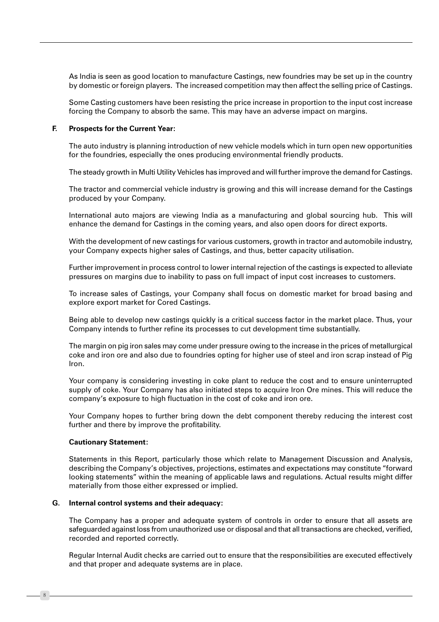As India is seen as good location to manufacture Castings, new foundries may be set up in the country by domestic or foreign players. The increased competition may then affect the selling price of Castings.

Some Casting customers have been resisting the price increase in proportion to the input cost increase forcing the Company to absorb the same. This may have an adverse impact on margins.

#### F. **Prospects for the Current Year:**

The auto industry is planning introduction of new vehicle models which in turn open new opportunities for the foundries, especially the ones producing environmental friendly products.

The steady growth in Multi Utility Vehicles has improved and will further improve the demand for Castings.

The tractor and commercial vehicle industry is growing and this will increase demand for the Castings produced by your Company.

International auto majors are viewing India as a manufacturing and global sourcing hub. This will enhance the demand for Castings in the coming years, and also open doors for direct exports.

With the development of new castings for various customers, growth in tractor and automobile industry, your Company expects higher sales of Castings, and thus, better capacity utilisation.

Further improvement in process control to lower internal rejection of the castings is expected to alleviate pressures on margins due to inability to pass on full impact of input cost increases to customers.

To increase sales of Castings, your Company shall focus on domestic market for broad basing and explore export market for Cored Castings.

Being able to develop new castings quickly is a critical success factor in the market place. Thus, your Company intends to further refine its processes to cut development time substantially.

The margin on pig iron sales may come under pressure owing to the increase in the prices of metallurgical coke and iron ore and also due to foundries opting for higher use of steel and iron scrap instead of Pig  $lron$ 

Your company is considering investing in coke plant to reduce the cost and to ensure uninterrupted supply of coke. Your Company has also initiated steps to acquire Iron Ore mines. This will reduce the company's exposure to high fluctuation in the cost of coke and iron ore.

Your Company hopes to further bring down the debt component thereby reducing the interest cost further and there by improve the profitability.

#### **Cautionary Statement:**

Statements in this Report, particularly those which relate to Management Discussion and Analysis, describing the Company's objectives, projections, estimates and expectations may constitute "forward looking statements" within the meaning of applicable laws and regulations. Actual results might differ materially from those either expressed or implied.

#### G. Internal control systems and their adequacy:

The Company has a proper and adequate system of controls in order to ensure that all assets are safeguarded against loss from unauthorized use or disposal and that all transactions are checked, verified, recorded and reported correctly.

Requiar Internal Audit checks are carried out to ensure that the responsibilities are executed effectively and that proper and adequate systems are in place.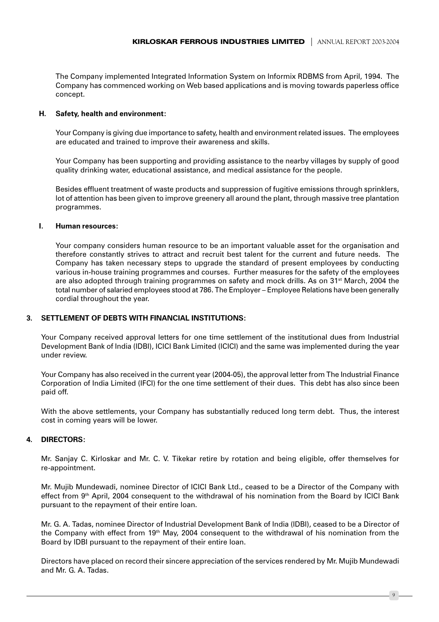The Company implemented Integrated Information System on Informix RDBMS from April, 1994. The Company has commenced working on Web based applications and is moving towards paperless office concept.

#### H. Safety, health and environment:

Your Company is giving due importance to safety, health and environment related issues. The employees are educated and trained to improve their awareness and skills.

Your Company has been supporting and providing assistance to the nearby villages by supply of good quality drinking water, educational assistance, and medical assistance for the people.

Besides effluent treatment of waste products and suppression of fugitive emissions through sprinklers, lot of attention has been given to improve greenery all around the plant, through massive tree plantation programmes.

#### $\mathbf{L}$ **Human resources:**

Your company considers human resource to be an important valuable asset for the organisation and therefore constantly strives to attract and recruit best talent for the current and future needs. The Company has taken necessary steps to upgrade the standard of present employees by conducting various in-house training programmes and courses. Further measures for the safety of the employees are also adopted through training programmes on safety and mock drills. As on 31<sup>st</sup> March, 2004 the total number of salaried employees stood at 786. The Employer – Employee Relations have been generally cordial throughout the year.

#### $\mathbf{R}$ **SETTLEMENT OF DEBTS WITH FINANCIAL INSTITUTIONS:**

Your Company received approval letters for one time settlement of the institutional dues from Industrial Development Bank of India (IDBI), ICICI Bank Limited (ICICI) and the same was implemented during the year under review.

Your Company has also received in the current year (2004-05), the approval letter from The Industrial Finance Corporation of India Limited (IFCI) for the one time settlement of their dues. This debt has also since been paid off.

With the above settlements, your Company has substantially reduced long term debt. Thus, the interest cost in coming years will be lower.

#### **DIRECTORS:**  $\mathbf{4}$

Mr. Sanjay C. Kirloskar and Mr. C. V. Tikekar retire by rotation and being eligible, offer themselves for re-appointment.

Mr. Mujib Mundewadi, nominee Director of ICICI Bank Ltd., ceased to be a Director of the Company with effect from 9th April, 2004 consequent to the withdrawal of his nomination from the Board by ICICI Bank pursuant to the repayment of their entire loan.

Mr. G. A. Tadas, nominee Director of Industrial Development Bank of India (IDBI), ceased to be a Director of the Company with effect from 19<sup>th</sup> May, 2004 consequent to the withdrawal of his nomination from the Board by IDBI pursuant to the repayment of their entire loan.

Directors have placed on record their sincere appreciation of the services rendered by Mr. Mujib Mundewadi and Mr. G. A. Tadas.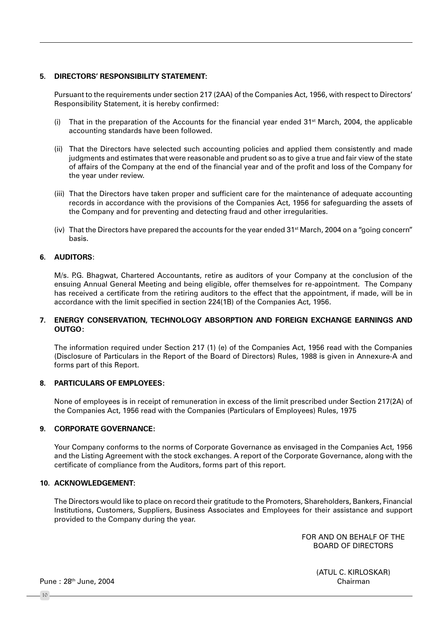#### 5. DIRECTORS' RESPONSIBILITY STATEMENT:

Pursuant to the requirements under section 217 (2AA) of the Companies Act, 1956, with respect to Directors' Responsibility Statement, it is hereby confirmed:

- (i) That in the preparation of the Accounts for the financial year ended  $31^{st}$  March, 2004, the applicable accounting standards have been followed.
- (ii) That the Directors have selected such accounting policies and applied them consistently and made judgments and estimates that were reasonable and prudent so as to give a true and fair view of the state of affairs of the Company at the end of the financial year and of the profit and loss of the Company for the year under review.
- (iii) That the Directors have taken proper and sufficient care for the maintenance of adequate accounting records in accordance with the provisions of the Companies Act, 1956 for safeguarding the assets of the Company and for preventing and detecting fraud and other irregularities.
- (iv) That the Directors have prepared the accounts for the year ended 31<sup>st</sup> March, 2004 on a "going concern" basis.

#### 6. AUDITORS:

M/s. P.G. Bhagwat, Chartered Accountants, retire as auditors of your Company at the conclusion of the ensuing Annual General Meeting and being eligible, offer themselves for re-appointment. The Company has received a certificate from the retiring auditors to the effect that the appointment, if made, will be in accordance with the limit specified in section 224(1B) of the Companies Act, 1956.

#### 7. ENERGY CONSERVATION, TECHNOLOGY ABSORPTION AND FOREIGN EXCHANGE EARNINGS AND **OUTGO:**

The information required under Section 217 (1) (e) of the Companies Act, 1956 read with the Companies (Disclosure of Particulars in the Report of the Board of Directors) Rules, 1988 is given in Annexure-A and forms part of this Report.

#### 8. PARTICULARS OF EMPLOYEES:

None of employees is in receipt of remuneration in excess of the limit prescribed under Section 217(2A) of the Companies Act, 1956 read with the Companies (Particulars of Employees) Rules, 1975

#### 9. CORPORATE GOVERNANCE:

Your Company conforms to the norms of Corporate Governance as envisaged in the Companies Act, 1956 and the Listing Agreement with the stock exchanges. A report of the Corporate Governance, along with the certificate of compliance from the Auditors, forms part of this report.

#### 10. ACKNOWLEDGEMENT:

The Directors would like to place on record their gratitude to the Promoters, Shareholders, Bankers, Financial Institutions, Customers, Suppliers, Business Associates and Employees for their assistance and support provided to the Company during the year.

> FOR AND ON BEHALF OF THE **BOARD OF DIRECTORS**

> > (ATUL C. KIRLOSKAR) Chairman

Pune: 28th June, 2004

 $10<sup>10</sup>$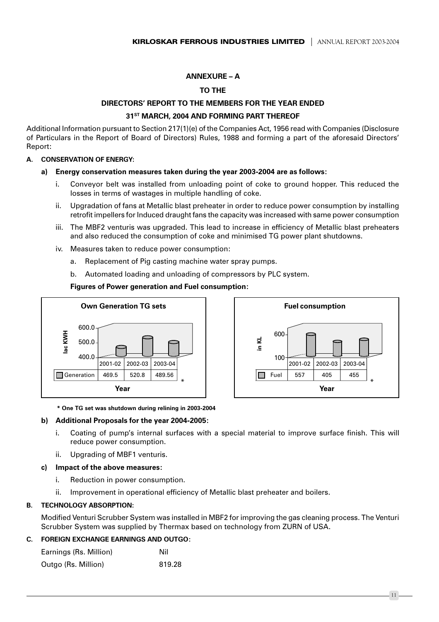### **ANNEXURE - A**

### **TO THE**

# DIRECTORS' REPORT TO THE MEMBERS FOR THE YEAR ENDED 31<sup>ST</sup> MARCH, 2004 AND FORMING PART THEREOF

Additional Information pursuant to Section 217(1)(e) of the Companies Act, 1956 read with Companies (Disclosure of Particulars in the Report of Board of Directors) Rules, 1988 and forming a part of the aforesaid Directors' Report:

#### A. CONSERVATION OF ENERGY:

#### Energy conservation measures taken during the year 2003-2004 are as follows:

- Convevor belt was installed from unloading point of coke to ground hopper. This reduced the i. losses in terms of wastages in multiple handling of coke.
- Upgradation of fans at Metallic blast preheater in order to reduce power consumption by installing ii. retrofit impellers for Induced draught fans the capacity was increased with same power consumption
- iii. The MBF2 venturis was upgraded. This lead to increase in efficiency of Metallic blast preheaters and also reduced the consumption of coke and minimised TG power plant shutdowns.
- iv. Measures taken to reduce power consumption:
	- Replacement of Pig casting machine water spray pumps.  $a_{-}$
	- Automated loading and unloading of compressors by PLC system.  $h_{\cdot}$

**Figures of Power generation and Fuel consumption:** 





#### \* One TG set was shutdown during relining in 2003-2004

#### b) Additional Proposals for the year 2004-2005:

- Coating of pump's internal surfaces with a special material to improve surface finish. This will i. reduce power consumption.
- Upgrading of MBF1 venturis. ii –

### c) Impact of the above measures:

- i. Reduction in power consumption.
- ii Improvement in operational efficiency of Metallic blast preheater and boilers.

#### **TECHNOLOGY ABSORPTION:** R.

Modified Venturi Scrubber System was installed in MBF2 for improving the gas cleaning process. The Venturi Scrubber System was supplied by Thermax based on technology from ZURN of USA.

### C. FORFIGN EXCHANGE FARNINGS AND OUTGO.

| Earnings (Rs. Million) | Nil    |
|------------------------|--------|
| Outgo (Rs. Million)    | 819.28 |

 $11.$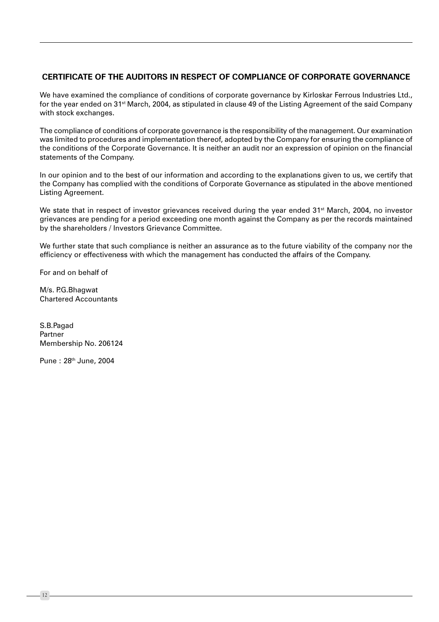# CERTIFICATE OF THE AUDITORS IN RESPECT OF COMPLIANCE OF CORPORATE GOVERNANCE

We have examined the compliance of conditions of corporate governance by Kirloskar Ferrous Industries Ltd., for the year ended on 31<sup>st</sup> March, 2004, as stipulated in clause 49 of the Listing Agreement of the said Company with stock exchanges.

The compliance of conditions of corporate governance is the responsibility of the management. Our examination was limited to procedures and implementation thereof, adopted by the Company for ensuring the compliance of the conditions of the Corporate Governance. It is neither an audit nor an expression of opinion on the financial statements of the Company.

In our opinion and to the best of our information and according to the explanations given to us, we certify that the Company has complied with the conditions of Corporate Governance as stipulated in the above mentioned Listing Agreement.

We state that in respect of investor grievances received during the year ended 31<sup>st</sup> March, 2004, no investor grievances are pending for a period exceeding one month against the Company as per the records maintained by the shareholders / Investors Grievance Committee.

We further state that such compliance is neither an assurance as to the future viability of the company nor the efficiency or effectiveness with which the management has conducted the affairs of the Company.

For and on behalf of

M/s. P.G.Bhagwat **Chartered Accountants** 

S.B.Pagad Partner Membership No. 206124

Pune: 28th June, 2004

 $12$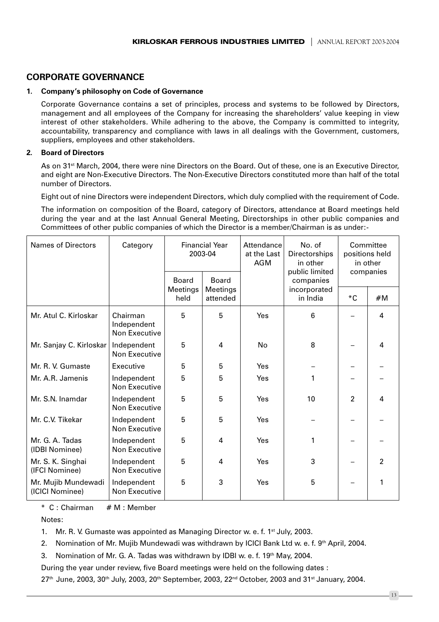# **CORPORATE GOVERNANCE**

### 1. Company's philosophy on Code of Governance

Corporate Governance contains a set of principles, process and systems to be followed by Directors, management and all employees of the Company for increasing the shareholders' value keeping in view interest of other stakeholders. While adhering to the above, the Company is committed to integrity, accountability, transparency and compliance with laws in all dealings with the Government, customers, suppliers, employees and other stakeholders.

### 2 Board of Directors

As on 31<sup>st</sup> March, 2004, there were nine Directors on the Board. Out of these, one is an Executive Director, and eight are Non-Executive Directors. The Non-Executive Directors constituted more than half of the total number of Directors.

Eight out of nine Directors were independent Directors, which duly complied with the requirement of Code.

The information on composition of the Board, category of Directors, attendance at Board meetings held during the year and at the last Annual General Meeting, Directorships in other public companies and Committees of other public companies of which the Director is a member/Chairman is as under:-

| <b>Names of Directors</b>              | Category                                 | <b>Financial Year</b><br>Attendance<br>2003-04<br>at the Last<br>AGM |                      | No. of<br>Directorships<br>in other<br>public limited | Committee<br>positions held<br>in other<br>companies |                |                |
|----------------------------------------|------------------------------------------|----------------------------------------------------------------------|----------------------|-------------------------------------------------------|------------------------------------------------------|----------------|----------------|
|                                        |                                          | <b>Board</b>                                                         | <b>Board</b>         |                                                       | companies                                            |                |                |
|                                        |                                          | Meetings<br>held                                                     | Meetings<br>attended |                                                       | incorporated<br>in India                             | *С             | #M             |
| Mr. Atul C. Kirloskar                  | Chairman<br>Independent<br>Non Executive | 5                                                                    | 5                    | Yes                                                   | 6                                                    |                | 4              |
| Mr. Sanjay C. Kirloskar                | Independent<br>Non Executive             | 5                                                                    | 4                    | <b>No</b>                                             | 8                                                    |                | 4              |
| Mr. R. V. Gumaste                      | Executive                                | 5                                                                    | 5                    | Yes                                                   |                                                      |                |                |
| Mr. A.R. Jamenis                       | Independent<br>Non Executive             | 5                                                                    | 5                    | Yes                                                   | 1                                                    |                |                |
| Mr. S.N. Inamdar                       | Independent<br>Non Executive             | 5                                                                    | 5                    | Yes                                                   | 10                                                   | $\overline{2}$ | 4              |
| Mr. C.V. Tikekar                       | Independent<br>Non Executive             | 5                                                                    | 5                    | Yes                                                   |                                                      |                |                |
| Mr. G. A. Tadas<br>(IDBI Nominee)      | Independent<br>Non Executive             | 5                                                                    | 4                    | Yes                                                   | 1                                                    |                |                |
| Mr. S. K. Singhai<br>(IFCI Nominee)    | Independent<br>Non Executive             | 5                                                                    | 4                    | <b>Yes</b>                                            | 3                                                    |                | $\overline{2}$ |
| Mr. Mujib Mundewadi<br>(ICICI Nominee) | Independent<br>Non Executive             | 5                                                                    | 3                    | Yes                                                   | 5                                                    |                | 1              |

\* C: Chairman # M : Member

Notes:

1. Mr. R. V. Gumaste was appointed as Managing Director w. e. f. 1<sup>st</sup> July, 2003.

2. Nomination of Mr. Mujib Mundewadi was withdrawn by ICICI Bank Ltd w. e. f. 9th April, 2004.

Nomination of Mr. G. A. Tadas was withdrawn by IDBI w. e. f. 19th May, 2004. 3.

During the year under review, five Board meetings were held on the following dates :

27th June, 2003, 30th July, 2003, 20th September, 2003, 22<sup>nd</sup> October, 2003 and 31<sup>st</sup> January, 2004.

 $-13 -$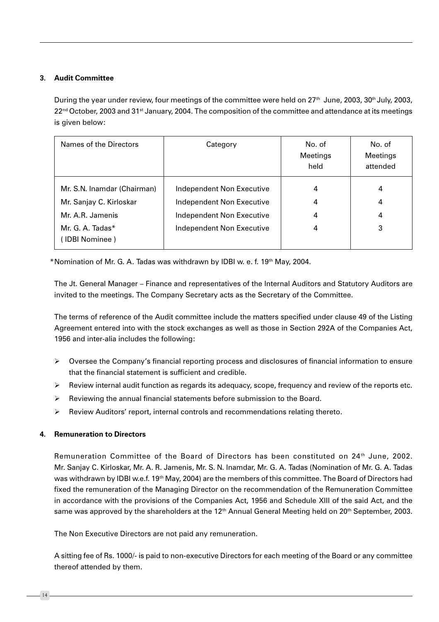# 3. Audit Committee

During the year under review, four meetings of the committee were held on 27<sup>th</sup> June, 2003, 30<sup>th</sup> July, 2003, 22<sup>nd</sup> October, 2003 and 31<sup>st</sup> January, 2004. The composition of the committee and attendance at its meetings is given below:

| Names of the Directors                                                     | Category                                                                                   | No. of<br>Meetings<br>held | No. of<br>Meetings<br>attended |
|----------------------------------------------------------------------------|--------------------------------------------------------------------------------------------|----------------------------|--------------------------------|
| Mr. S.N. Inamdar (Chairman)<br>Mr. Sanjay C. Kirloskar<br>Mr. A.R. Jamenis | <b>Independent Non Executive</b><br>Independent Non Executive<br>Independent Non Executive | 4<br>4<br>4                | 4<br>4<br>4                    |
| Mr. G. A. Tadas*<br>(IDBI Nominee)                                         | <b>Independent Non Executive</b>                                                           | 4                          | 3                              |

\*Nomination of Mr. G. A. Tadas was withdrawn by IDBI w. e. f. 19th May, 2004.

The Jt. General Manager – Finance and representatives of the Internal Auditors and Statutory Auditors are invited to the meetings. The Company Secretary acts as the Secretary of the Committee.

The terms of reference of the Audit committee include the matters specified under clause 49 of the Listing Agreement entered into with the stock exchanges as well as those in Section 292A of the Companies Act, 1956 and inter-alia includes the following:

- $\triangleright$  Oversee the Company's financial reporting process and disclosures of financial information to ensure that the financial statement is sufficient and credible.
- Review internal audit function as regards its adequacy, scope, frequency and review of the reports etc.  $\triangleright$
- $\triangleright$  Reviewing the annual financial statements before submission to the Board.
- $\triangleright$ Review Auditors' report, internal controls and recommendations relating thereto.

### 4 Remuneration to Directors

Remuneration Committee of the Board of Directors has been constituted on 24<sup>th</sup> June, 2002. Mr. Sanjay C. Kirloskar, Mr. A. R. Jamenis, Mr. S. N. Inamdar, Mr. G. A. Tadas (Nomination of Mr. G. A. Tadas was withdrawn by IDBI w.e.f. 19<sup>th</sup> May, 2004) are the members of this committee. The Board of Directors had fixed the remuneration of the Managing Director on the recommendation of the Remuneration Committee in accordance with the provisions of the Companies Act, 1956 and Schedule XIII of the said Act, and the same was approved by the shareholders at the 12<sup>th</sup> Annual General Meeting held on 20<sup>th</sup> September, 2003.

The Non Executive Directors are not paid any remuneration.

A sitting fee of Rs. 1000/- is paid to non-executive Directors for each meeting of the Board or any committee thereof attended by them.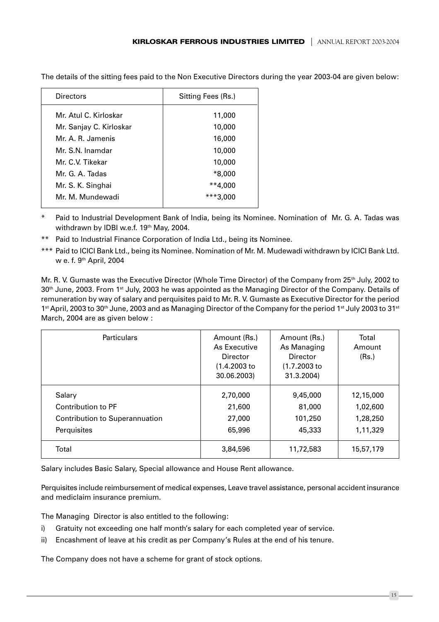| Directors               | Sitting Fees (Rs.) |
|-------------------------|--------------------|
| Mr. Atul C. Kirloskar   | 11,000             |
| Mr. Sanjay C. Kirloskar | 10,000             |
| Mr. A. R. Jamenis       | 16,000             |
| Mr. S.N. Inamdar        | 10,000             |
| Mr. C.V. Tikekar        | 10,000             |
| Mr. G. A. Tadas         | $*8,000$           |
| Mr. S. K. Singhai       | $**4,000$          |
| Mr. M. Mundewadi        |                    |

The details of the sitting fees paid to the Non Executive Directors during the year 2003-04 are given below:

 $\ast$ Paid to Industrial Development Bank of India, being its Nominee. Nomination of Mr. G. A. Tadas was withdrawn by IDBI w.e.f. 19th May, 2004.

- \*\* Paid to Industrial Finance Corporation of India Ltd., being its Nominee.
- \*\*\* Paid to ICICI Bank Ltd., being its Nominee. Nomination of Mr. M. Mudewadi withdrawn by ICICI Bank Ltd. w e. f. 9th April, 2004

Mr. R. V. Gumaste was the Executive Director (Whole Time Director) of the Company from 25<sup>th</sup> July, 2002 to 30<sup>th</sup> June, 2003. From 1<sup>st</sup> July, 2003 he was appointed as the Managing Director of the Company. Details of remuneration by way of salary and perquisites paid to Mr. R. V. Gumaste as Executive Director for the period 1st April, 2003 to 30th June, 2003 and as Managing Director of the Company for the period 1st July 2003 to 31st March, 2004 are as given below :

| <b>Particulars</b>                                                                   | Amount (Rs.)<br>As Executive<br>Director<br>(1.4.2003 to<br>30.06.2003) | Amount (Rs.)<br>As Managing<br>Director<br>$(1.7.2003)$ to<br>31.3.2004) | Total<br>Amount<br>(Rs.)                      |
|--------------------------------------------------------------------------------------|-------------------------------------------------------------------------|--------------------------------------------------------------------------|-----------------------------------------------|
| Salary<br>Contribution to PF<br><b>Contribution to Superannuation</b><br>Perquisites | 2,70,000<br>21,600<br>27,000<br>65,996                                  | 9,45,000<br>81,000<br>101,250<br>45,333                                  | 12,15,000<br>1,02,600<br>1,28,250<br>1,11,329 |
| Total                                                                                | 3,84,596                                                                | 11,72,583                                                                | 15,57,179                                     |

Salary includes Basic Salary, Special allowance and House Rent allowance.

Perquisites include reimbursement of medical expenses, Leave travel assistance, personal accident insurance and mediclaim insurance premium.

The Managing Director is also entitled to the following:

- Gratuity not exceeding one half month's salary for each completed year of service. i)
- ii) Encashment of leave at his credit as per Company's Rules at the end of his tenure.

The Company does not have a scheme for grant of stock options.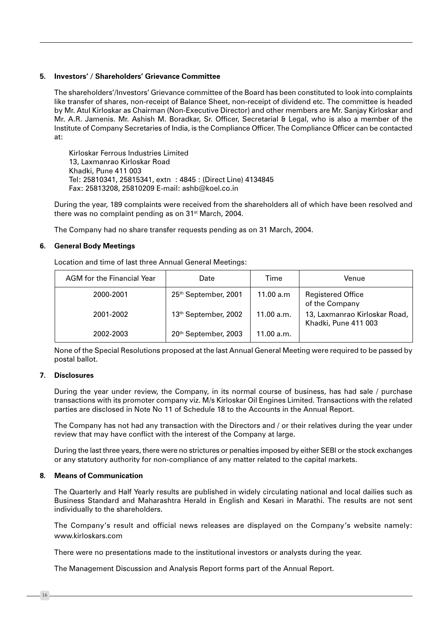#### 5. Investors' / Shareholders' Grievance Committee

The shareholders'/Investors' Grievance committee of the Board has been constituted to look into complaints like transfer of shares, non-receipt of Balance Sheet, non-receipt of dividend etc. The committee is headed by Mr. Atul Kirloskar as Chairman (Non-Executive Director) and other members are Mr. Sanjay Kirloskar and Mr. A.R. Jamenis. Mr. Ashish M. Boradkar, Sr. Officer, Secretarial & Legal, who is also a member of the Institute of Company Secretaries of India, is the Compliance Officer. The Compliance Officer can be contacted at:

Kirloskar Ferrous Industries Limited 13. Laxmanrao Kirloskar Road Khadki, Pune 411 003 Tel: 25810341, 25815341, extn: 4845: (Direct Line) 4134845 Fax: 25813208, 25810209 E-mail: ashb@koel.co.in

During the year, 189 complaints were received from the shareholders all of which have been resolved and there was no complaint pending as on 31<sup>st</sup> March, 2004.

The Company had no share transfer requests pending as on 31 March, 2004.

#### 6. General Body Meetings

Location and time of last three Annual General Meetings:

| AGM for the Financial Year | Date                 | Time       | Venue                                                 |
|----------------------------|----------------------|------------|-------------------------------------------------------|
| 2000-2001                  | 25th September, 2001 | 11.00 a.m  | <b>Registered Office</b><br>of the Company            |
| 2001-2002                  | 13th September, 2002 | 11.00 a.m. | 13, Laxmanrao Kirloskar Road,<br>Khadki, Pune 411 003 |
| 2002-2003                  | 20th September, 2003 | 11.00 a.m. |                                                       |

None of the Special Resolutions proposed at the last Annual General Meeting were required to be passed by postal ballot.

#### 7. Disclosures

During the year under review, the Company, in its normal course of business, has had sale / purchase transactions with its promoter company viz. M/s Kirloskar Oil Engines Limited. Transactions with the related parties are disclosed in Note No 11 of Schedule 18 to the Accounts in the Annual Report.

The Company has not had any transaction with the Directors and / or their relatives during the year under review that may have conflict with the interest of the Company at large.

During the last three years, there were no strictures or penalties imposed by either SEBI or the stock exchanges or any statutory authority for non-compliance of any matter related to the capital markets.

#### 8 Means of Communication

The Quarterly and Half Yearly results are published in widely circulating national and local dailies such as Business Standard and Maharashtra Herald in English and Kesari in Marathi. The results are not sent individually to the shareholders.

The Company's result and official news releases are displayed on the Company's website namely: www.kirloskars.com

There were no presentations made to the institutional investors or analysts during the year.

The Management Discussion and Analysis Report forms part of the Annual Report.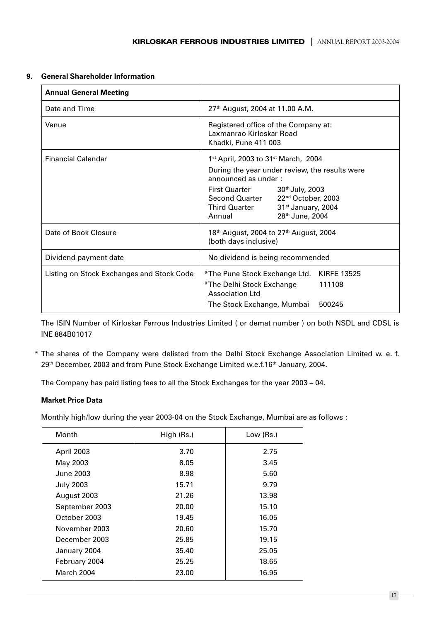#### **General Shareholder Information** 9.

| <b>Annual General Meeting</b>             |                                                                                                                                                                                                  |  |
|-------------------------------------------|--------------------------------------------------------------------------------------------------------------------------------------------------------------------------------------------------|--|
| Date and Time                             | 27 <sup>th</sup> August, 2004 at 11.00 A.M.                                                                                                                                                      |  |
| Venue                                     | Registered office of the Company at:<br>Laxmanrao Kirloskar Road<br>Khadki, Pune 411 003                                                                                                         |  |
| <b>Financial Calendar</b>                 | $1st$ April, 2003 to 31 <sup>st</sup> March, 2004                                                                                                                                                |  |
|                                           | During the year under review, the results were<br>announced as under:                                                                                                                            |  |
|                                           | <b>First Quarter</b><br>$30th$ July, 2003<br><b>Second Quarter</b><br>22 <sup>nd</sup> October, 2003<br>Third Quarter<br>31 <sup>st</sup> January, 2004<br>28 <sup>th</sup> June, 2004<br>Annual |  |
| Date of Book Closure                      | 18 <sup>th</sup> August, 2004 to 27 <sup>th</sup> August, 2004<br>(both days inclusive)                                                                                                          |  |
| Dividend payment date                     | No dividend is being recommended                                                                                                                                                                 |  |
| Listing on Stock Exchanges and Stock Code | <b>KIRFE 13525</b><br>*The Pune Stock Exchange Ltd.<br>*The Delhi Stock Exchange<br>111108<br>Association Ltd                                                                                    |  |
|                                           | 500245<br>The Stock Exchange, Mumbai                                                                                                                                                             |  |

The ISIN Number of Kirloskar Ferrous Industries Limited (or demat number) on both NSDL and CDSL is INE 884B01017

\* The shares of the Company were delisted from the Delhi Stock Exchange Association Limited w. e. f. 29th December, 2003 and from Pune Stock Exchange Limited w.e.f.16th January, 2004.

The Company has paid listing fees to all the Stock Exchanges for the year 2003 - 04.

# **Market Price Data**

Monthly high/low during the year 2003-04 on the Stock Exchange, Mumbai are as follows :

| Month             | High (Rs.) | Low (Rs.) |
|-------------------|------------|-----------|
| April 2003        | 3.70       | 2.75      |
| May 2003          | 8.05       | 3.45      |
| June 2003         | 8.98       | 5.60      |
| <b>July 2003</b>  | 15.71      | 9.79      |
| August 2003       | 21.26      | 13.98     |
| September 2003    | 20.00      | 15.10     |
| October 2003      | 19.45      | 16.05     |
| November 2003     | 20.60      | 15.70     |
| December 2003     | 25.85      | 19.15     |
| January 2004      | 35.40      | 25.05     |
| February 2004     | 25.25      | 18.65     |
| <b>March 2004</b> | 23.00      | 16.95     |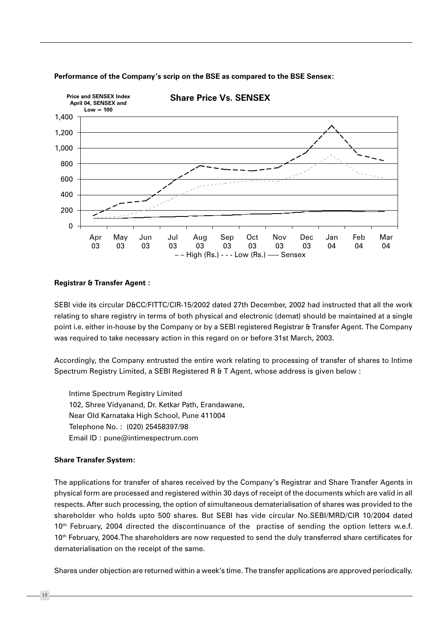

#### Performance of the Company's scrip on the BSE as compared to the BSE Sensex:

### **Registrar & Transfer Agent:**

SEBI vide its circular D&CC/FITTC/CIR-15/2002 dated 27th December, 2002 had instructed that all the work relating to share registry in terms of both physical and electronic (demat) should be maintained at a single point i.e. either in-house by the Company or by a SEBI registered Registrar & Transfer Agent. The Company was required to take necessary action in this regard on or before 31st March, 2003.

Accordingly, the Company entrusted the entire work relating to processing of transfer of shares to Intime Spectrum Registry Limited, a SEBI Registered R & T Agent, whose address is given below :

Intime Spectrum Registry Limited 102, Shree Vidyanand, Dr. Ketkar Path, Erandawane, Near Old Karnataka High School, Pune 411004 Telephone No.: (020) 25458397/98 Email ID: pune@intimespectrum.com

#### **Share Transfer System:**

The applications for transfer of shares received by the Company's Registrar and Share Transfer Agents in physical form are processed and registered within 30 days of receipt of the documents which are valid in all respects. After such processing, the option of simultaneous dematerialisation of shares was provided to the shareholder who holds upto 500 shares. But SEBI has vide circular No.SEBI/MRD/CIR 10/2004 dated 10<sup>th</sup> February, 2004 directed the discontinuance of the practise of sending the option letters w.e.f. 10<sup>th</sup> February, 2004. The shareholders are now requested to send the duly transferred share certificates for dematerialisation on the receipt of the same.

Shares under objection are returned within a week's time. The transfer applications are approved periodically.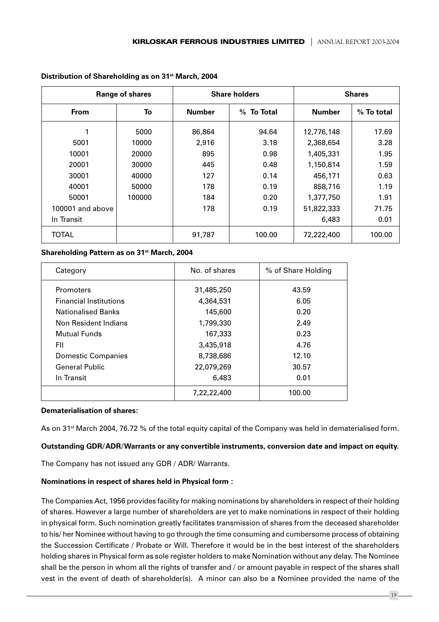| <b>Range of shares</b> |        |                             | <b>Share holders</b> | <b>Shares</b> |            |  |
|------------------------|--------|-----------------------------|----------------------|---------------|------------|--|
| <b>From</b>            | To     | <b>Number</b><br>% To Total |                      | <b>Number</b> | % To total |  |
|                        | 5000   | 86,864                      | 94.64                | 12,776,148    | 17.69      |  |
| 5001                   | 10000  | 2,916                       | 3.18                 | 2,368,654     | 3.28       |  |
| 10001                  | 20000  | 895                         | 0.98                 |               | 1.95       |  |
| 20001                  | 30000  | 445                         | 0.48                 | 1,150,814     | 1.59       |  |
| 30001                  | 40000  | 127                         | 0.14                 | 456,171       | 0.63       |  |
| 40001                  | 50000  | 178                         | 0.19                 |               | 1.19       |  |
| 50001                  | 100000 | 184                         | 0.20                 |               | 1.91       |  |
| 100001 and above       |        | 178                         | 0.19                 |               | 71.75      |  |
| In Transit             |        |                             |                      | 6,483         | 0.01       |  |
| <b>TOTAL</b>           |        | 91,787                      | 100.00               | 72,222,400    | 100.00     |  |

#### Distribution of Shareholding as on 31<sup>st</sup> March, 2004

Shareholding Pattern as on 31<sup>st</sup> March, 2004

| Category                      | No. of shares | % of Share Holding |
|-------------------------------|---------------|--------------------|
| <b>Promoters</b>              | 31,485,250    | 43.59              |
| <b>Financial Institutions</b> | 4,364,531     | 6.05               |
| <b>Nationalised Banks</b>     | 145,600       | 0.20               |
| Non Resident Indians          | 1,799,330     | 2.49               |
| Mutual Funds                  | 167,333       | 0.23               |
| FII                           | 3,435,918     | 4.76               |
| Domestic Companies            | 8,738,686     | 12.10              |
| <b>General Public</b>         | 22,079,269    | 30.57              |
| In Transit                    | 6,483         | 0.01               |
|                               | 7,22,22,400   | 100.00             |

#### **Dematerialisation of shares:**

As on 31<sup>st</sup> March 2004, 76.72 % of the total equity capital of the Company was held in dematerialised form.

#### Outstanding GDR/ADR/Warrants or any convertible instruments, conversion date and impact on equity.

The Company has not issued any GDR / ADR/ Warrants.

#### Nominations in respect of shares held in Physical form :

The Companies Act, 1956 provides facility for making nominations by shareholders in respect of their holding of shares. However a large number of shareholders are yet to make nominations in respect of their holding in physical form. Such nomination greatly facilitates transmission of shares from the deceased shareholder to his/her Nominee without having to go through the time consuming and cumbersome process of obtaining the Succession Certificate / Probate or Will. Therefore it would be in the best interest of the shareholders holding shares in Physical form as sole register holders to make Nomination without any delay. The Nominee shall be the person in whom all the rights of transfer and / or amount payable in respect of the shares shall vest in the event of death of shareholder(s). A minor can also be a Nominee provided the name of the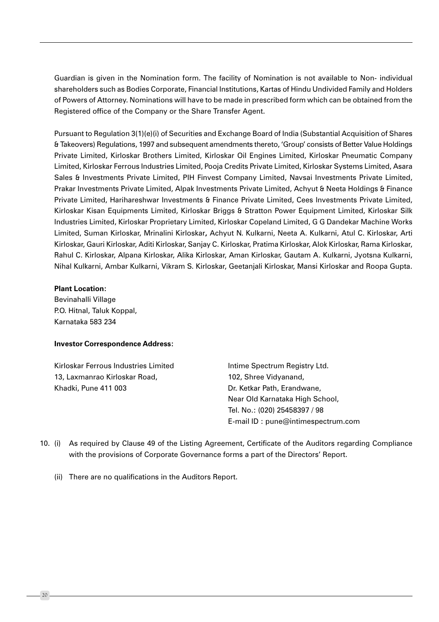Guardian is given in the Nomination form. The facility of Nomination is not available to Non- individual shareholders such as Bodies Corporate, Financial Institutions, Kartas of Hindu Undivided Family and Holders of Powers of Attorney. Nominations will have to be made in prescribed form which can be obtained from the Registered office of the Company or the Share Transfer Agent.

Pursuant to Regulation 3(1)(e)(i) of Securities and Exchange Board of India (Substantial Acquisition of Shares & Takeovers) Regulations, 1997 and subsequent amendments thereto, 'Group' consists of Better Value Holdings Private Limited, Kirloskar Brothers Limited, Kirloskar Oil Engines Limited, Kirloskar Pneumatic Company Limited, Kirloskar Ferrous Industries Limited, Pooja Credits Private Limited, Kirloskar Systems Limited, Asara Sales & Investments Private Limited, PIH Finvest Company Limited, Navsai Investments Private Limited, Prakar Investments Private Limited, Alpak Investments Private Limited, Achyut & Neeta Holdings & Finance Private Limited, Harihareshwar Investments & Finance Private Limited, Cees Investments Private Limited, Kirloskar Kisan Equipments Limited, Kirloskar Briggs & Stratton Power Equipment Limited, Kirloskar Silk Industries Limited, Kirloskar Proprietary Limited, Kirloskar Copeland Limited, G G Dandekar Machine Works Limited, Suman Kirloskar, Mrinalini Kirloskar, Achyut N. Kulkarni, Neeta A. Kulkarni, Atul C. Kirloskar, Arti Kirloskar, Gauri Kirloskar, Aditi Kirloskar, Sanjay C. Kirloskar, Pratima Kirloskar, Alok Kirloskar, Rama Kirloskar, Rahul C. Kirloskar, Alpana Kirloskar, Alika Kirloskar, Aman Kirloskar, Gautam A. Kulkarni, Jyotsna Kulkarni, Nihal Kulkarni, Ambar Kulkarni, Vikram S. Kirloskar, Geetanjali Kirloskar, Mansi Kirloskar and Roopa Gupta.

#### **Plant Location:**

Bevinahalli Village P.O. Hitnal, Taluk Koppal, Karnataka 583 234

#### **Investor Correspondence Address:**

Kirloskar Ferrous Industries Limited 13. Laxmanrao Kirloskar Road. Khadki, Pune 411 003

Intime Spectrum Registry Ltd. 102, Shree Vidvanand, Dr. Ketkar Path, Erandwane, Near Old Karnataka High School, Tel. No.: (020) 25458397 / 98 E-mail ID: pune@intimespectrum.com

- 10. (i) As required by Clause 49 of the Listing Agreement, Certificate of the Auditors regarding Compliance with the provisions of Corporate Governance forms a part of the Directors' Report.
	- (ii) There are no qualifications in the Auditors Report.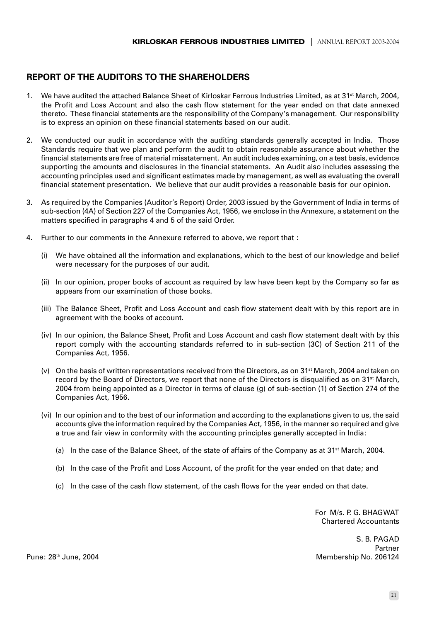# **REPORT OF THE AUDITORS TO THE SHAREHOLDERS**

- 1. We have audited the attached Balance Sheet of Kirloskar Ferrous Industries Limited, as at 31<sup>st</sup> March, 2004, the Profit and Loss Account and also the cash flow statement for the year ended on that date annexed thereto. These financial statements are the responsibility of the Company's management. Our responsibility is to express an opinion on these financial statements based on our audit.
- 2. We conducted our audit in accordance with the auditing standards generally accepted in India. Those Standards require that we plan and perform the audit to obtain reasonable assurance about whether the financial statements are free of material misstatement. An audit includes examining, on a test basis, evidence supporting the amounts and disclosures in the financial statements. An Audit also includes assessing the accounting principles used and significant estimates made by management, as well as evaluating the overall financial statement presentation. We believe that our audit provides a reasonable basis for our opinion.
- 3. As required by the Companies (Auditor's Report) Order, 2003 issued by the Government of India in terms of sub-section (4A) of Section 227 of the Companies Act, 1956, we enclose in the Annexure, a statement on the matters specified in paragraphs 4 and 5 of the said Order.
- $\overline{4}$ Further to our comments in the Annexure referred to above, we report that :
	- (i) We have obtained all the information and explanations, which to the best of our knowledge and belief were necessary for the purposes of our audit.
	- (ii) In our opinion, proper books of account as required by law have been kept by the Company so far as appears from our examination of those books.
	- (iii) The Balance Sheet, Profit and Loss Account and cash flow statement dealt with by this report are in agreement with the books of account.
	- (iv) In our opinion, the Balance Sheet, Profit and Loss Account and cash flow statement dealt with by this report comply with the accounting standards referred to in sub-section (3C) of Section 211 of the Companies Act. 1956.
	- (v) On the basis of written representations received from the Directors, as on 31<sup>st</sup> March, 2004 and taken on record by the Board of Directors, we report that none of the Directors is disqualified as on 31<sup>st</sup> March, 2004 from being appointed as a Director in terms of clause (g) of sub-section (1) of Section 274 of the Companies Act, 1956.
	- (vi) In our opinion and to the best of our information and according to the explanations given to us, the said accounts give the information required by the Companies Act, 1956, in the manner so required and give a true and fair view in conformity with the accounting principles generally accepted in India:
		- (a) In the case of the Balance Sheet, of the state of affairs of the Company as at 31<sup>st</sup> March, 2004.
		- (b) In the case of the Profit and Loss Account, of the profit for the year ended on that date; and
		- (c) In the case of the cash flow statement, of the cash flows for the year ended on that date.

For M/s, P. G. BHAGWAT **Chartered Accountants** 

S R PAGAD Partner Membership No. 206124

Pune: 28<sup>th</sup> June, 2004

 $-21$ .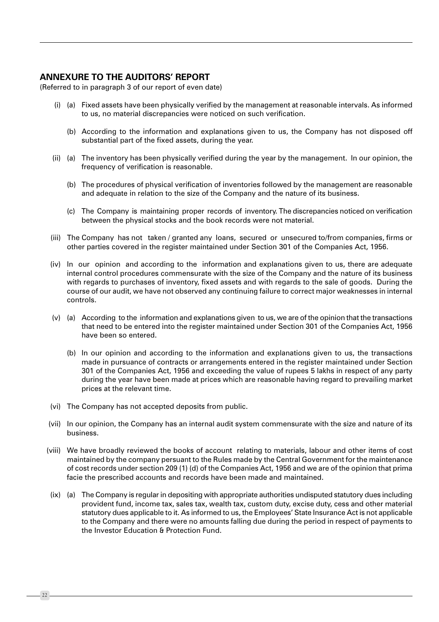# **ANNEXURE TO THE AUDITORS' REPORT**

(Referred to in paragraph 3 of our report of even date)

- (i) (a) Fixed assets have been physically verified by the management at reasonable intervals. As informed to us, no material discrepancies were noticed on such verification.
	- (b) According to the information and explanations given to us, the Company has not disposed off substantial part of the fixed assets, during the year.
- (ii) (a) The inventory has been physically verified during the year by the management. In our opinion, the frequency of verification is reasonable.
	- (b) The procedures of physical verification of inventories followed by the management are reasonable and adequate in relation to the size of the Company and the nature of its business.
	- (c) The Company is maintaining proper records of inventory. The discrepancies noticed on verification between the physical stocks and the book records were not material.
- (iii) The Company has not taken / granted any loans, secured or unsecured to/from companies, firms or other parties covered in the register maintained under Section 301 of the Companies Act, 1956.
- (iv) In our opinion and according to the information and explanations given to us, there are adequate internal control procedures commensurate with the size of the Company and the nature of its business with regards to purchases of inventory, fixed assets and with regards to the sale of goods. During the course of our audit, we have not observed any continuing failure to correct major weaknesses in internal controls.
- (v) (a) According to the information and explanations given to us, we are of the opinion that the transactions that need to be entered into the register maintained under Section 301 of the Companies Act, 1956 have been so entered.
	- (b) In our opinion and according to the information and explanations given to us, the transactions made in pursuance of contracts or arrangements entered in the register maintained under Section 301 of the Companies Act, 1956 and exceeding the value of rupees 5 lakhs in respect of any party during the year have been made at prices which are reasonable having regard to prevailing market prices at the relevant time.
- (vi) The Company has not accepted deposits from public.
- (vii) In our opinion, the Company has an internal audit system commensurate with the size and nature of its business.
- (viii) We have broadly reviewed the books of account relating to materials, labour and other items of cost maintained by the company persuant to the Rules made by the Central Government for the maintenance of cost records under section 209 (1) (d) of the Companies Act, 1956 and we are of the opinion that prima facie the prescribed accounts and records have been made and maintained.
- (ix) (a) The Company is regular in depositing with appropriate authorities undisputed statutory dues including provident fund, income tax, sales tax, wealth tax, custom duty, excise duty, cess and other material statutory dues applicable to it. As informed to us, the Employees' State Insurance Act is not applicable to the Company and there were no amounts falling due during the period in respect of payments to the Investor Education & Protection Fund.

22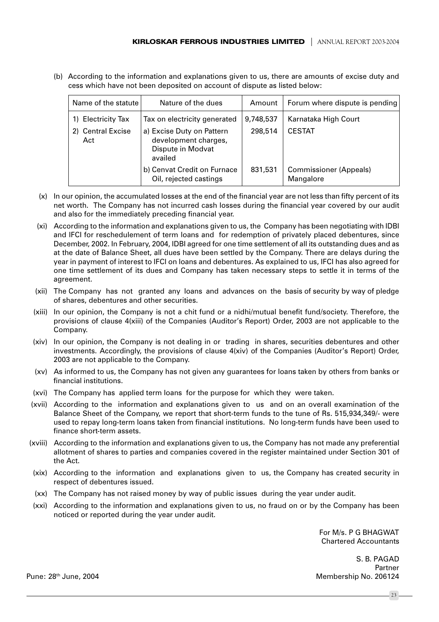(b) According to the information and explanations given to us, there are amounts of excise duty and cess which have not been deposited on account of dispute as listed below:

| Name of the statute      | Nature of the dues                                                                | Amount    | Forum where dispute is pending             |
|--------------------------|-----------------------------------------------------------------------------------|-----------|--------------------------------------------|
| 1) Electricity Tax       | Tax on electricity generated                                                      | 9,748,537 | Karnataka High Court                       |
| 2) Central Excise<br>Act | a) Excise Duty on Pattern<br>development charges,<br>Dispute in Modvat<br>availed | 298,514   | <b>CESTAT</b>                              |
|                          | b) Cenvat Credit on Furnace<br>Oil, rejected castings                             | 831,531   | <b>Commissioner (Appeals)</b><br>Mangalore |

- (x) In our opinion, the accumulated losses at the end of the financial year are not less than fifty percent of its net worth. The Company has not incurred cash losses during the financial year covered by our audit and also for the immediately preceding financial year.
- (xi) According to the information and explanations given to us, the Company has been negotiating with IDBI and IFCI for reschedulement of term loans and for redemption of privately placed debentures, since December, 2002. In February, 2004, IDBI agreed for one time settlement of all its outstanding dues and as at the date of Balance Sheet, all dues have been settled by the Company. There are delays during the year in payment of interest to IFCI on loans and debentures. As explained to us, IFCI has also agreed for one time settlement of its dues and Company has taken necessary steps to settle it in terms of the agreement.
- (xii) The Company has not granted any loans and advances on the basis of security by way of pledge of shares, debentures and other securities.
- (xiii) In our opinion, the Company is not a chit fund or a nidhi/mutual benefit fund/society. Therefore, the provisions of clause 4(xiii) of the Companies (Auditor's Report) Order, 2003 are not applicable to the Company.
- (xiv) In our opinion, the Company is not dealing in or trading in shares, securities debentures and other investments. Accordingly, the provisions of clause 4(xiv) of the Companies (Auditor's Report) Order, 2003 are not applicable to the Company.
- (xv) As informed to us, the Company has not given any guarantees for loans taken by others from banks or financial institutions.
- (xvi) The Company has applied term loans for the purpose for which they were taken.
- (xvii) According to the information and explanations given to us and on an overall examination of the Balance Sheet of the Company, we report that short-term funds to the tune of Rs. 515,934,349/- were used to repay long-term loans taken from financial institutions. No long-term funds have been used to finance short-term assets.
- (xviii) According to the information and explanations given to us, the Company has not made any preferential allotment of shares to parties and companies covered in the register maintained under Section 301 of the Act.
- (xix) According to the information and explanations given to us, the Company has created security in respect of debentures issued.
- (xx) The Company has not raised money by way of public issues during the year under audit.
- (xxi) According to the information and explanations given to us, no fraud on or by the Company has been noticed or reported during the year under audit.

For M/s. P G BHAGWAT **Chartered Accountants** 

S. B. PAGAD Partner Membership No. 206124

Pune: 28<sup>th</sup> June, 2004

 $23$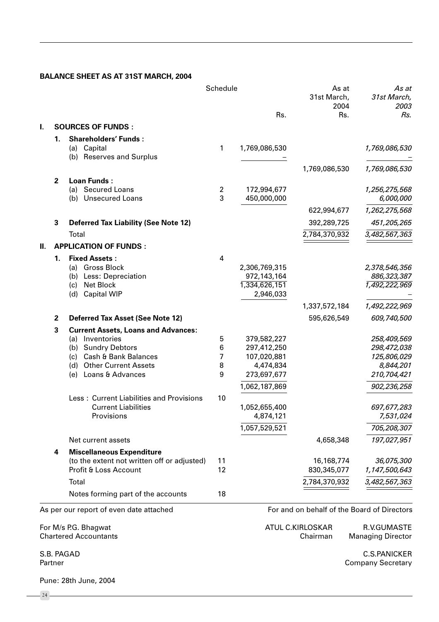# **BALANCE SHEET AS AT 31ST MARCH, 2004**

|    |                |                                                               | Schedule       | Rs.                        | As at<br>31st March,<br>2004<br>Rs.         | As at<br>31st March,<br>2003<br>Rs. |
|----|----------------|---------------------------------------------------------------|----------------|----------------------------|---------------------------------------------|-------------------------------------|
| L. |                | <b>SOURCES OF FUNDS:</b>                                      |                |                            |                                             |                                     |
|    | 1.             | <b>Shareholders' Funds:</b>                                   |                |                            |                                             |                                     |
|    |                | (a) Capital<br>(b) Reserves and Surplus                       | 1              | 1,769,086,530              |                                             | 1,769,086,530                       |
|    |                |                                                               |                |                            | 1,769,086,530                               | 1,769,086,530                       |
|    | $\overline{2}$ | <b>Loan Funds:</b>                                            |                |                            |                                             |                                     |
|    |                | <b>Secured Loans</b><br>(a) -                                 | $\overline{2}$ | 172,994,677                |                                             | 1,256,275,568                       |
|    |                | (b) Unsecured Loans                                           | 3              | 450,000,000                |                                             | 6,000,000                           |
|    |                |                                                               |                |                            | 622,994,677                                 | 1,262,275,568                       |
|    | 3              | <b>Deferred Tax Liability (See Note 12)</b>                   |                |                            | 392,289,725                                 | 451,205,265                         |
|    |                | Total                                                         |                |                            | 2,784,370,932                               | 3,482,567,363                       |
| H. |                | <b>APPLICATION OF FUNDS:</b>                                  |                |                            |                                             |                                     |
|    | 1.             | <b>Fixed Assets:</b>                                          | 4              |                            |                                             |                                     |
|    |                | (a) Gross Block                                               |                | 2,306,769,315              |                                             | 2,378,546,356                       |
|    |                | (b) Less: Depreciation                                        |                | 972,143,164                |                                             | 886,323,387                         |
|    |                | Net Block<br>(c)<br><b>Capital WIP</b><br>(d)                 |                | 1,334,626,151<br>2,946,033 |                                             | 1,492,222,969                       |
|    |                |                                                               |                |                            | 1,337,572,184                               | 1,492,222,969                       |
|    |                |                                                               |                |                            |                                             |                                     |
|    | $\mathbf{2}$   | <b>Deferred Tax Asset (See Note 12)</b>                       |                |                            | 595,626,549                                 | 609,740,500                         |
|    | 3              | <b>Current Assets, Loans and Advances:</b><br>(a) Inventories | 5              | 379,582,227                |                                             | 258,409,569                         |
|    |                | (b) Sundry Debtors                                            | 6              | 297,412,250                |                                             | 298,472,038                         |
|    |                | (c) Cash & Bank Balances                                      | 7              | 107,020,881                |                                             | 125,806,029                         |
|    |                | (d) Other Current Assets                                      | 8              | 4,474,834                  |                                             | 8,844,201                           |
|    |                | Loans & Advances<br>(e)                                       | 9              | 273,697,677                |                                             | 210,704,421                         |
|    |                |                                                               |                | 1,062,187,869              |                                             | 902,236,258                         |
|    |                | Less: Current Liabilities and Provisions                      | 10             |                            |                                             |                                     |
|    |                | <b>Current Liabilities</b>                                    |                | 1,052,655,400              |                                             | 697,677,283                         |
|    |                | Provisions                                                    |                | 4,874,121                  |                                             | 7,531,024                           |
|    |                |                                                               |                | 1,057,529,521              |                                             | 705,208,307                         |
|    |                | Net current assets                                            |                |                            | 4,658,348                                   | 197,027,951                         |
|    | 4              | <b>Miscellaneous Expenditure</b>                              |                |                            |                                             |                                     |
|    |                | (to the extent not written off or adjusted)                   | 11             |                            | 16,168,774                                  | 36,075,300                          |
|    |                | Profit & Loss Account                                         | 12             |                            | 830, 345, 077                               | 1,147,500,643                       |
|    |                | Total                                                         |                |                            | 2,784,370,932                               | 3,482,567,363                       |
|    |                | Notes forming part of the accounts                            | 18             |                            |                                             |                                     |
|    |                | As per our report of even date attached                       |                |                            | For and on behalf of the Board of Directors |                                     |

For M/s P.G. Bhagwat **Chartered Accountants**  ATUL C.KIRLOSKAR R.V.GUMASTE Chairman **Managing Director** 

S.B. PAGAD Partner

 $-24$ 

Pune: 28th June, 2004

**C.S.PANICKER Company Secretary**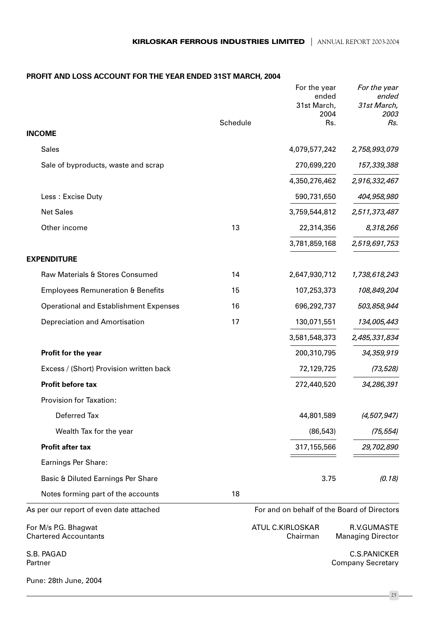# PROFIT AND LOSS ACCOUNT FOR THE YEAR ENDED 31ST MARCH, 2004

|                                                      | Schedule | For the year<br>ended<br>31st March,<br>2004<br>Rs. | For the year<br>ended<br>31st March,<br>2003<br>Rs. |
|------------------------------------------------------|----------|-----------------------------------------------------|-----------------------------------------------------|
| <b>INCOME</b>                                        |          |                                                     |                                                     |
| <b>Sales</b>                                         |          | 4,079,577,242                                       | 2,758,993,079                                       |
| Sale of byproducts, waste and scrap                  |          | 270,699,220                                         | 157,339,388                                         |
|                                                      |          | 4,350,276,462                                       | 2,916,332,467                                       |
| Less: Excise Duty                                    |          | 590,731,650                                         | 404,958,980                                         |
| <b>Net Sales</b>                                     |          | 3,759,544,812                                       | 2,511,373,487                                       |
| Other income                                         | 13       | 22,314,356                                          | 8,318,266                                           |
|                                                      |          | 3,781,859,168                                       | 2,519,691,753                                       |
| <b>EXPENDITURE</b>                                   |          |                                                     |                                                     |
| Raw Materials & Stores Consumed                      | 14       | 2,647,930,712                                       | 1,738,618,243                                       |
| <b>Employees Remuneration &amp; Benefits</b>         | 15       | 107,253,373                                         | 108,849,204                                         |
| <b>Operational and Establishment Expenses</b>        | 16       | 696,292,737                                         | 503,858,944                                         |
| Depreciation and Amortisation                        | 17       | 130,071,551                                         | 134,005,443                                         |
|                                                      |          | 3,581,548,373                                       | 2,485,331,834                                       |
| Profit for the year                                  |          | 200,310,795                                         | 34,359,919                                          |
| Excess / (Short) Provision written back              |          | 72,129,725                                          | (73, 528)                                           |
| Profit before tax                                    |          | 272,440,520                                         | 34,286,391                                          |
| Provision for Taxation:                              |          |                                                     |                                                     |
| Deferred Tax                                         |          | 44,801,589                                          | (4, 507, 947)                                       |
| Wealth Tax for the year                              |          | (86, 543)                                           | (75, 554)                                           |
| <b>Profit after tax</b>                              |          | 317,155,566                                         | 29,702,890                                          |
| Earnings Per Share:                                  |          |                                                     |                                                     |
| Basic & Diluted Earnings Per Share                   |          | 3.75                                                | (0.18)                                              |
| Notes forming part of the accounts                   | 18       |                                                     |                                                     |
| As per our report of even date attached              |          | For and on behalf of the Board of Directors         |                                                     |
| For M/s P.G. Bhagwat<br><b>Chartered Accountants</b> |          | ATUL C.KIRLOSKAR<br>Chairman                        | R.V.GUMASTE<br><b>Managing Director</b>             |
| S.B. PAGAD<br>Partner                                |          |                                                     | <b>C.S.PANICKER</b><br><b>Company Secretary</b>     |
| Pune: 28th June, 2004                                |          |                                                     |                                                     |

 $-25$  —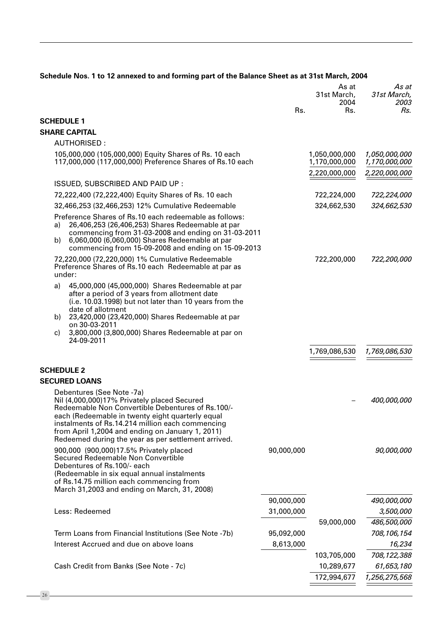|                                                                                                                                                                                                                                                                                                                                                  | Rs.        | As at<br>31st March,<br>2004<br>Rs. | As at<br>31st March,<br>2003<br>Rs. |
|--------------------------------------------------------------------------------------------------------------------------------------------------------------------------------------------------------------------------------------------------------------------------------------------------------------------------------------------------|------------|-------------------------------------|-------------------------------------|
| <b>SCHEDULE 1</b>                                                                                                                                                                                                                                                                                                                                |            |                                     |                                     |
| <b>SHARE CAPITAL</b>                                                                                                                                                                                                                                                                                                                             |            |                                     |                                     |
| <b>AUTHORISED:</b>                                                                                                                                                                                                                                                                                                                               |            |                                     |                                     |
| 105,000,000 (105,000,000) Equity Shares of Rs. 10 each<br>117,000,000 (117,000,000) Preference Shares of Rs.10 each                                                                                                                                                                                                                              |            | 1,050,000,000<br>1,170,000,000      | 1,050,000,000<br>1,170,000,000      |
|                                                                                                                                                                                                                                                                                                                                                  |            | 2,220,000,000                       | 2,220,000,000                       |
| ISSUED, SUBSCRIBED AND PAID UP :                                                                                                                                                                                                                                                                                                                 |            |                                     |                                     |
| 72,222,400 (72,222,400) Equity Shares of Rs. 10 each                                                                                                                                                                                                                                                                                             |            | 722,224,000                         | 722,224,000                         |
| 32,466,253 (32,466,253) 12% Cumulative Redeemable                                                                                                                                                                                                                                                                                                |            | 324,662,530                         | 324,662,530                         |
| Preference Shares of Rs.10 each redeemable as follows:<br>26,406,253 (26,406,253) Shares Redeemable at par<br>a)<br>commencing from 31-03-2008 and ending on 31-03-2011<br>6,060,000 (6,060,000) Shares Redeemable at par<br>b)<br>commencing from 15-09-2008 and ending on 15-09-2013                                                           |            |                                     |                                     |
| 72,220,000 (72,220,000) 1% Cumulative Redeemable<br>Preference Shares of Rs.10 each Redeemable at par as<br>under:                                                                                                                                                                                                                               |            | 722,200,000                         | 722,200,000                         |
| 45,000,000 (45,000,000) Shares Redeemable at par<br>a)<br>after a period of 3 years from allotment date<br>(i.e. 10.03.1998) but not later than 10 years from the<br>date of allotment<br>23,420,000 (23,420,000) Shares Redeemable at par<br>b)<br>on 30-03-2011<br>3,800,000 (3,800,000) Shares Redeemable at par on<br>C)                     |            |                                     |                                     |
| 24-09-2011                                                                                                                                                                                                                                                                                                                                       |            | 1,769,086,530                       | 1,769,086,530                       |
| <b>SCHEDULE 2</b>                                                                                                                                                                                                                                                                                                                                |            |                                     |                                     |
| <b>SECURED LOANS</b>                                                                                                                                                                                                                                                                                                                             |            |                                     |                                     |
| Debentures (See Note -7a)<br>Nil (4,000,000)17% Privately placed Secured<br>Redeemable Non Convertible Debentures of Rs.100/-<br>each (Redeemable in twenty eight quarterly equal<br>instalments of Rs.14.214 million each commencing<br>from April 1,2004 and ending on January 1, 2011)<br>Redeemed during the year as per settlement arrived. |            |                                     | 400,000,000                         |
| 900,000 (900,000)17.5% Privately placed<br>Secured Redeemable Non Convertible<br>Debentures of Rs.100/- each<br>(Redeemable in six equal annual instalments<br>of Rs.14.75 million each commencing from<br>March 31,2003 and ending on March, 31, 2008)                                                                                          | 90,000,000 |                                     | 90,000,000                          |
|                                                                                                                                                                                                                                                                                                                                                  | 90,000,000 |                                     | 490,000,000                         |
| Less: Redeemed                                                                                                                                                                                                                                                                                                                                   | 31,000,000 |                                     | 3,500,000                           |
|                                                                                                                                                                                                                                                                                                                                                  |            | 59,000,000                          | 486,500,000                         |
| Term Loans from Financial Institutions (See Note -7b)                                                                                                                                                                                                                                                                                            | 95,092,000 |                                     | 708, 106, 154                       |
| Interest Accrued and due on above loans                                                                                                                                                                                                                                                                                                          | 8,613,000  |                                     | 16,234                              |
|                                                                                                                                                                                                                                                                                                                                                  |            | 103,705,000                         | 708,122,388                         |
| Cash Credit from Banks (See Note - 7c)                                                                                                                                                                                                                                                                                                           |            | 10,289,677                          | 61,653,180                          |
|                                                                                                                                                                                                                                                                                                                                                  |            | 172,994,677                         | 1,256,275,568                       |

### Schedule Nos. 1 to 12 annexed to and forming part of the Balance Sheet as at 31st March, 2004

 $-26-$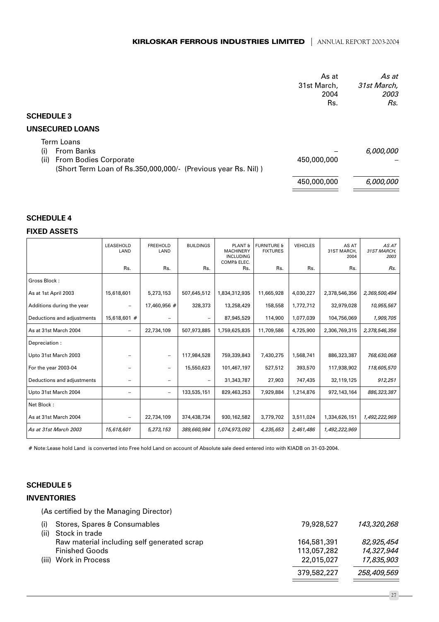# **KIRLOSKAR FERROUS INDUSTRIES LIMITED** | ANNUAL REPORT 2003-2004

|                                                                                                                                   | As at<br>31st March,<br>2004<br>Rs. | As at<br>31st March,<br>2003<br>Rs. |
|-----------------------------------------------------------------------------------------------------------------------------------|-------------------------------------|-------------------------------------|
| <b>SCHEDULE 3</b>                                                                                                                 |                                     |                                     |
| <b>UNSECURED LOANS</b>                                                                                                            |                                     |                                     |
| Term Loans<br>From Banks<br>(i)<br>(ii)<br>From Bodies Corporate<br>(Short Term Loan of Rs.350,000,000/- (Previous year Rs. Nil)) | 450,000,000                         | 6,000,000                           |
|                                                                                                                                   | 450,000,000                         | 6,000,000                           |

### **SCHEDULE 4**

#### **FIXED ASSETS**

|                            | LEASEHOLD<br>LAND        | <b>FREEHOLD</b><br>LAND  | <b>BUILDINGS</b>         | PLANT <sub>8</sub><br><b>MACHINERY</b><br><b>INCLUDING</b><br>COMP& ELEC. | <b>FURNITURE &amp;</b><br><b>FIXTURES</b> | <b>VEHICLES</b> | AS AT<br>31ST MARCH,<br>2004 | AS AT<br>31ST MARCH,<br>2003 |
|----------------------------|--------------------------|--------------------------|--------------------------|---------------------------------------------------------------------------|-------------------------------------------|-----------------|------------------------------|------------------------------|
|                            | Rs.                      | Rs.                      | Rs.                      | Rs.                                                                       | Rs.                                       | Rs.             | Rs.                          | Rs.                          |
| Gross Block:               |                          |                          |                          |                                                                           |                                           |                 |                              |                              |
| As at 1st April 2003       | 15,618,601               | 5,273,153                | 507,645,512              | 1,834,312,935                                                             | 11,665,928                                | 4,030,227       | 2,378,546,356                | 2,369,500,494                |
| Additions during the year  |                          | 17,460,956 #             | 328,373                  | 13,258,429                                                                | 158,558                                   | 1,772,712       | 32,979,028                   | 10,955,567                   |
| Deductions and adjustments | 15,618,601 #             |                          | $\overline{\phantom{0}}$ | 87,945,529                                                                | 114,900                                   | 1,077,039       | 104,756,069                  | 1,909,705                    |
| As at 31st March 2004      | $\overline{\phantom{0}}$ | 22,734,109               | 507,973,885              | 1,759,625,835                                                             | 11,709,586                                | 4,725,900       | 2,306,769,315                | 2,378,546,356                |
| Depreciation:              |                          |                          |                          |                                                                           |                                           |                 |                              |                              |
| Upto 31st March 2003       |                          | $\overline{\phantom{0}}$ | 117,984,528              | 759,339,843                                                               | 7,430,275                                 | 1,568,741       | 886,323,387                  | 768,630,068                  |
| For the year 2003-04       |                          |                          | 15,550,623               | 101,467,197                                                               | 527,512                                   | 393,570         | 117,938,902                  | 118,605,570                  |
| Deductions and adjustments |                          |                          | $\qquad \qquad -$        | 31,343,787                                                                | 27,903                                    | 747,435         | 32,119,125                   | 912,251                      |
| Upto 31st March 2004       |                          | $\overline{\phantom{0}}$ | 133,535,151              | 829,463,253                                                               | 7,929,884                                 | 1,214,876       | 972,143,164                  | 886, 323, 387                |
| Net Block:                 |                          |                          |                          |                                                                           |                                           |                 |                              |                              |
| As at 31st March 2004      | $\overline{\phantom{m}}$ | 22,734,109               | 374,438,734              | 930,162,582                                                               | 3,779,702                                 | 3,511,024       | 1,334,626,151                | 1,492,222,969                |
| As at 31st March 2003      | 15,618,601               | 5,273,153                | 389,660,984              | 1,074,973,092                                                             | 4,235,653                                 | 2,461,486       | 1,492,222,969                |                              |

# Note:Lease hold Land is converted into Free hold Land on account of Absolute sale deed entered into with KIADB on 31-03-2004.

# **SCHEDULE 5**

### **INVENTORIES**

(As certified by the Managing Director)

| (i)  | Stores, Spares & Consumables                | 79,928,527  | 143,320,268 |
|------|---------------------------------------------|-------------|-------------|
| (ii) | Stock in trade                              |             |             |
|      | Raw material including self generated scrap | 164,581,391 | 82,925,454  |
|      | <b>Finished Goods</b>                       | 113,057,282 | 14,327,944  |
|      | (iii) Work in Process                       | 22,015,027  | 17,835,903  |
|      |                                             | 379,582,227 | 258,409,569 |
|      |                                             |             |             |

 $-27-$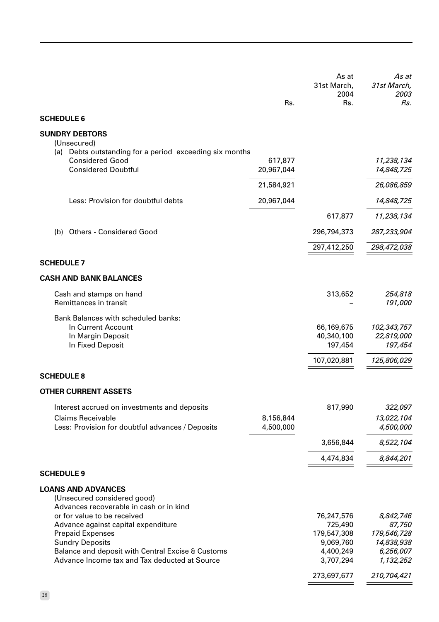|                                                                                                                                                                                                                               |                        | As at<br>31st March,<br>2004                                                | As at<br>31st March,<br>2003                                               |
|-------------------------------------------------------------------------------------------------------------------------------------------------------------------------------------------------------------------------------|------------------------|-----------------------------------------------------------------------------|----------------------------------------------------------------------------|
| <b>SCHEDULE 6</b>                                                                                                                                                                                                             | Rs.                    | Rs.                                                                         | Rs.                                                                        |
| <b>SUNDRY DEBTORS</b>                                                                                                                                                                                                         |                        |                                                                             |                                                                            |
| (Unsecured)                                                                                                                                                                                                                   |                        |                                                                             |                                                                            |
| (a) Debts outstanding for a period exceeding six months<br><b>Considered Good</b><br><b>Considered Doubtful</b>                                                                                                               | 617,877<br>20,967,044  |                                                                             | 11,238,134<br>14,848,725                                                   |
|                                                                                                                                                                                                                               | 21,584,921             |                                                                             | 26,086,859                                                                 |
| Less: Provision for doubtful debts                                                                                                                                                                                            | 20,967,044             |                                                                             | 14,848,725                                                                 |
|                                                                                                                                                                                                                               |                        | 617,877                                                                     | 11,238,134                                                                 |
| <b>Others - Considered Good</b><br>(b)                                                                                                                                                                                        |                        | 296,794,373                                                                 | 287,233,904                                                                |
|                                                                                                                                                                                                                               |                        | 297,412,250                                                                 | 298,472,038                                                                |
| <b>SCHEDULE 7</b>                                                                                                                                                                                                             |                        |                                                                             |                                                                            |
| <b>CASH AND BANK BALANCES</b>                                                                                                                                                                                                 |                        |                                                                             |                                                                            |
| Cash and stamps on hand<br>Remittances in transit                                                                                                                                                                             |                        | 313,652                                                                     | 254,818<br>191,000                                                         |
| <b>Bank Balances with scheduled banks:</b><br>In Current Account<br>In Margin Deposit<br>In Fixed Deposit                                                                                                                     |                        | 66,169,675<br>40,340,100<br>197,454<br>107,020,881                          | 102,343,757<br>22,819,000<br>197,454<br>125,806,029                        |
| <b>SCHEDULE 8</b>                                                                                                                                                                                                             |                        |                                                                             |                                                                            |
| <b>OTHER CURRENT ASSETS</b>                                                                                                                                                                                                   |                        |                                                                             |                                                                            |
| Interest accrued on investments and deposits<br><b>Claims Receivable</b><br>Less: Provision for doubtful advances / Deposits                                                                                                  | 8,156,844<br>4,500,000 | 817,990                                                                     | 322,097<br>13,022,104<br>4,500,000                                         |
|                                                                                                                                                                                                                               |                        | 3,656,844                                                                   | 8,522,104                                                                  |
|                                                                                                                                                                                                                               |                        | 4,474,834                                                                   | 8,844,201                                                                  |
| <b>SCHEDULE 9</b>                                                                                                                                                                                                             |                        |                                                                             |                                                                            |
| <b>LOANS AND ADVANCES</b><br>(Unsecured considered good)<br>Advances recoverable in cash or in kind                                                                                                                           |                        |                                                                             |                                                                            |
| or for value to be received<br>Advance against capital expenditure<br><b>Prepaid Expenses</b><br><b>Sundry Deposits</b><br>Balance and deposit with Central Excise & Customs<br>Advance Income tax and Tax deducted at Source |                        | 76,247,576<br>725,490<br>179,547,308<br>9,069,760<br>4,400,249<br>3,707,294 | 8,842,746<br>87,750<br>179,546,728<br>14,838,938<br>6,256,007<br>1,132,252 |
|                                                                                                                                                                                                                               |                        | 273,697,677                                                                 | 210,704,421                                                                |

 $-28-$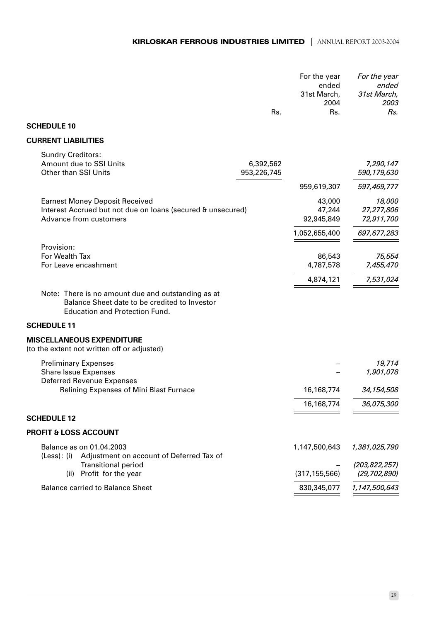|                                                                                                                                              |                          | For the year<br>ended<br>31st March,<br>2004 | For the year<br>ended<br>31st March,<br>2003 |
|----------------------------------------------------------------------------------------------------------------------------------------------|--------------------------|----------------------------------------------|----------------------------------------------|
|                                                                                                                                              | Rs.                      | Rs.                                          | Rs.                                          |
| <b>SCHEDULE 10</b>                                                                                                                           |                          |                                              |                                              |
| <b>CURRENT LIABILITIES</b>                                                                                                                   |                          |                                              |                                              |
| <b>Sundry Creditors:</b><br>Amount due to SSI Units<br>Other than SSI Units                                                                  | 6,392,562<br>953,226,745 |                                              | 7,290,147<br>590,179,630                     |
|                                                                                                                                              |                          | 959,619,307                                  | 597,469,777                                  |
| <b>Earnest Money Deposit Received</b><br>Interest Accrued but not due on loans (secured & unsecured)<br>Advance from customers               |                          | 43,000<br>47,244<br>92,945,849               | 18,000<br>27,277,806<br>72,911,700           |
|                                                                                                                                              |                          | 1,052,655,400                                | 697,677,283                                  |
| Provision:<br>For Wealth Tax<br>For Leave encashment                                                                                         |                          | 86,543<br>4,787,578                          | 75,554<br>7,455,470                          |
|                                                                                                                                              |                          | 4,874,121                                    | 7,531,024                                    |
| Note: There is no amount due and outstanding as at<br>Balance Sheet date to be credited to Investor<br><b>Education and Protection Fund.</b> |                          |                                              |                                              |
| <b>SCHEDULE 11</b>                                                                                                                           |                          |                                              |                                              |
| <b>MISCELLANEOUS EXPENDITURE</b><br>(to the extent not written off or adjusted)                                                              |                          |                                              |                                              |
| <b>Preliminary Expenses</b><br><b>Share Issue Expenses</b><br><b>Deferred Revenue Expenses</b>                                               |                          |                                              | 19,714<br>1,901,078                          |
| Relining Expenses of Mini Blast Furnace                                                                                                      |                          | 16,168,774                                   | 34,154,508                                   |
|                                                                                                                                              |                          | 16,168,774                                   | 36,075,300                                   |
| <b>SCHEDULE 12</b>                                                                                                                           |                          |                                              |                                              |
| <b>PROFIT &amp; LOSS ACCOUNT</b>                                                                                                             |                          |                                              |                                              |
| Balance as on 01.04.2003<br>(Less): (i)<br>Adjustment on account of Deferred Tax of                                                          |                          | 1,147,500,643                                | 1,381,025,790                                |
| <b>Transitional period</b><br>Profit for the year<br>(ii)                                                                                    |                          | (317, 155, 566)                              | (203, 822, 257)<br>(29, 702, 890)            |
| <b>Balance carried to Balance Sheet</b>                                                                                                      |                          | 830, 345, 077                                | 1,147,500,643                                |
|                                                                                                                                              |                          |                                              |                                              |

 $-29$  —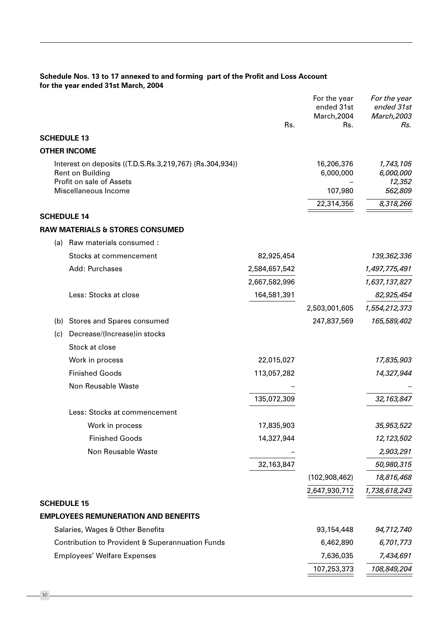# Schedule Nos. 13 to 17 annexed to and forming part of the Profit and Loss Account for the year ended 31st March, 2004

|                    |                                                                                                          | Rs.           | For the year<br>ended 31st<br>March, 2004<br>Rs. | For the year<br>ended 31st<br>March, 2003<br>Rs. |
|--------------------|----------------------------------------------------------------------------------------------------------|---------------|--------------------------------------------------|--------------------------------------------------|
| <b>SCHEDULE 13</b> |                                                                                                          |               |                                                  |                                                  |
|                    | <b>OTHER INCOME</b>                                                                                      |               |                                                  |                                                  |
|                    | Interest on deposits ((T.D.S.Rs.3,219,767) (Rs.304,934))<br>Rent on Building<br>Profit on sale of Assets |               | 16,206,376<br>6,000,000                          | 1,743,105<br>6,000,000<br>12,352                 |
|                    | Miscellaneous Income                                                                                     |               | 107,980                                          | 562,809                                          |
|                    |                                                                                                          |               | 22,314,356                                       | 8,318,266                                        |
| <b>SCHEDULE 14</b> |                                                                                                          |               |                                                  |                                                  |
|                    | <b>RAW MATERIALS &amp; STORES CONSUMED</b>                                                               |               |                                                  |                                                  |
| (a)                | Raw materials consumed :                                                                                 |               |                                                  |                                                  |
|                    | Stocks at commencement                                                                                   | 82,925,454    |                                                  | 139,362,336                                      |
|                    | Add: Purchases                                                                                           | 2,584,657,542 |                                                  | 1,497,775,491                                    |
|                    |                                                                                                          | 2,667,582,996 |                                                  | 1,637,137,827                                    |
|                    | Less: Stocks at close                                                                                    | 164,581,391   |                                                  | 82,925,454                                       |
|                    |                                                                                                          |               | 2,503,001,605                                    | 1,554,212,373                                    |
| (b)                | <b>Stores and Spares consumed</b>                                                                        |               | 247,837,569                                      | 165,589,402                                      |
| (c)                | Decrease/(Increase)in stocks                                                                             |               |                                                  |                                                  |
|                    | Stock at close                                                                                           |               |                                                  |                                                  |
|                    | Work in process                                                                                          | 22,015,027    |                                                  | 17,835,903                                       |
|                    | <b>Finished Goods</b>                                                                                    | 113,057,282   |                                                  | 14,327,944                                       |
|                    | Non Reusable Waste                                                                                       |               |                                                  |                                                  |
|                    |                                                                                                          | 135,072,309   |                                                  | 32,163,847                                       |
|                    | Less: Stocks at commencement                                                                             |               |                                                  |                                                  |
|                    | Work in process                                                                                          | 17,835,903    |                                                  | 35,953,522                                       |
|                    | <b>Finished Goods</b>                                                                                    | 14,327,944    |                                                  | 12,123,502                                       |
|                    | Non Reusable Waste                                                                                       |               |                                                  | 2,903,291                                        |
|                    |                                                                                                          | 32,163,847    |                                                  | 50,980,315                                       |
|                    |                                                                                                          |               | (102,908,462)                                    | 18,816,468                                       |
|                    |                                                                                                          |               | 2,647,930,712                                    | 1,738,618,243                                    |
| <b>SCHEDULE 15</b> |                                                                                                          |               |                                                  |                                                  |
|                    | <b>EMPLOYEES REMUNERATION AND BENEFITS</b>                                                               |               |                                                  |                                                  |
|                    | Salaries, Wages & Other Benefits                                                                         |               | 93,154,448                                       | 94,712,740                                       |
|                    | Contribution to Provident & Superannuation Funds                                                         |               | 6,462,890                                        | 6,701,773                                        |
|                    | <b>Employees' Welfare Expenses</b>                                                                       |               | 7,636,035                                        | 7,434,691                                        |
|                    |                                                                                                          |               | 107,253,373                                      | 108,849,204                                      |
|                    |                                                                                                          |               |                                                  |                                                  |

 $-30-$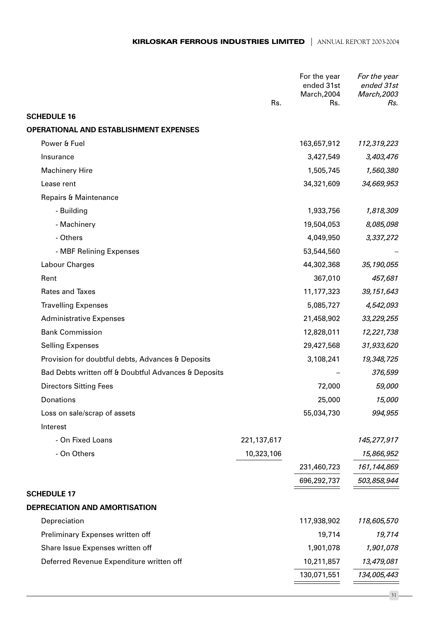|                                                      | Rs.         | For the year<br>ended 31st<br>March, 2004<br>Rs. | For the year<br>ended 31st<br>March, 2003<br>Rs. |
|------------------------------------------------------|-------------|--------------------------------------------------|--------------------------------------------------|
| <b>SCHEDULE 16</b>                                   |             |                                                  |                                                  |
| <b>OPERATIONAL AND ESTABLISHMENT EXPENSES</b>        |             |                                                  |                                                  |
| Power & Fuel                                         |             | 163,657,912                                      | 112,319,223                                      |
| Insurance                                            |             | 3,427,549                                        | 3,403,476                                        |
| <b>Machinery Hire</b>                                |             | 1,505,745                                        | 1,560,380                                        |
| Lease rent                                           |             | 34,321,609                                       | 34,669,953                                       |
| Repairs & Maintenance                                |             |                                                  |                                                  |
| - Building                                           |             | 1,933,756                                        | 1,818,309                                        |
| - Machinery                                          |             | 19,504,053                                       | 8,085,098                                        |
| - Others                                             |             | 4,049,950                                        | 3,337,272                                        |
| - MBF Relining Expenses                              |             | 53,544,560                                       |                                                  |
| Labour Charges                                       |             | 44,302,368                                       | 35, 190, 055                                     |
| Rent                                                 |             | 367,010                                          | 457,681                                          |
| Rates and Taxes                                      |             | 11,177,323                                       | 39,151,643                                       |
| <b>Travelling Expenses</b>                           |             | 5,085,727                                        | 4,542,093                                        |
| <b>Administrative Expenses</b>                       |             | 21,458,902                                       | 33,229,255                                       |
| <b>Bank Commission</b>                               |             | 12,828,011                                       | 12,221,738                                       |
| <b>Selling Expenses</b>                              |             | 29,427,568                                       | 31,933,620                                       |
| Provision for doubtful debts, Advances & Deposits    |             | 3,108,241                                        | 19,348,725                                       |
| Bad Debts written off & Doubtful Advances & Deposits |             |                                                  | 376,599                                          |
| <b>Directors Sitting Fees</b>                        |             | 72,000                                           | 59,000                                           |
| Donations                                            |             | 25,000                                           | 15,000                                           |
| Loss on sale/scrap of assets                         |             | 55,034,730                                       | 994,955                                          |
| Interest                                             |             |                                                  |                                                  |
| - On Fixed Loans                                     | 221,137,617 |                                                  | 145,277,917                                      |
| - On Others                                          | 10,323,106  |                                                  | 15,866,952                                       |
|                                                      |             | 231,460,723                                      | 161,144,869                                      |
|                                                      |             | 696,292,737                                      | 503,858,944                                      |
| <b>SCHEDULE 17</b>                                   |             |                                                  |                                                  |
| DEPRECIATION AND AMORTISATION                        |             |                                                  |                                                  |
| Depreciation                                         |             | 117,938,902                                      | 118,605,570                                      |
| Preliminary Expenses written off                     |             | 19,714                                           | 19,714                                           |
| Share Issue Expenses written off                     |             | 1,901,078                                        | 1,901,078                                        |
| Deferred Revenue Expenditure written off             |             | 10,211,857                                       | 13,479,081                                       |
|                                                      |             | 130,071,551                                      | 134,005,443                                      |
|                                                      |             |                                                  |                                                  |

 $-31$  —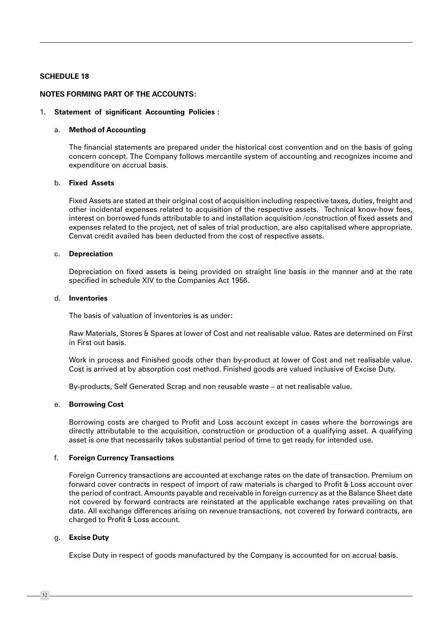#### **SCHEDULE 18**

#### **NOTES FORMING PART OF THE ACCOUNTS:**

#### 1. Statement of significant Accounting Policies :

#### a. Method of Accounting

The financial statements are prepared under the historical cost convention and on the basis of going concern concept. The Company follows mercantile system of accounting and recognizes income and expenditure on accrual basis.

### b. Fixed Assets

Fixed Assets are stated at their original cost of acquisition including respective taxes, duties, freight and other incidental expenses related to acquisition of the respective assets. Technical know-how fees, interest on borrowed funds attributable to and installation acquisition /construction of fixed assets and expenses related to the project, net of sales of trial production, are also capitalised where appropriate. Cenvat credit availed has been deducted from the cost of respective assets.

#### c. Depreciation

Depreciation on fixed assets is being provided on straight line basis in the manner and at the rate specified in schedule XIV to the Companies Act 1956.

#### d. Inventories

The basis of valuation of inventories is as under:

Raw Materials, Stores & Spares at lower of Cost and net realisable value. Rates are determined on First in First out basis.

Work in process and Finished goods other than by-product at lower of Cost and net realisable value. Cost is arrived at by absorption cost method. Finished goods are valued inclusive of Excise Duty.

By-products, Self Generated Scrap and non reusable waste - at net realisable value.

#### e. Borrowing Cost

Borrowing costs are charged to Profit and Loss account except in cases where the borrowings are directly attributable to the acquisition, construction or production of a qualifying asset. A qualifying asset is one that necessarily takes substantial period of time to get ready for intended use.

#### $f_{\cdot}$ **Foreign Currency Transactions**

Foreign Currency transactions are accounted at exchange rates on the date of transaction. Premium on forward cover contracts in respect of import of raw materials is charged to Profit & Loss account over the period of contract. Amounts payable and receivable in foreign currency as at the Balance Sheet date not covered by forward contracts are reinstated at the applicable exchange rates prevailing on that date. All exchange differences arising on revenue transactions, not covered by forward contracts, are charged to Profit & Loss account.

#### g. Excise Duty

Excise Duty in respect of goods manufactured by the Company is accounted for on accrual basis.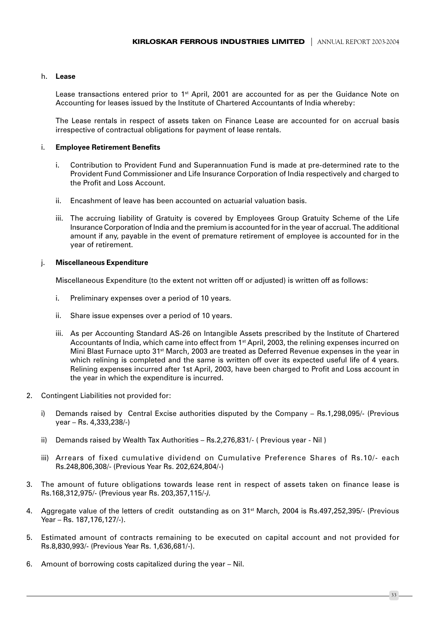#### h. Lease

Lease transactions entered prior to 1<sup>st</sup> April, 2001 are accounted for as per the Guidance Note on Accounting for leases issued by the Institute of Chartered Accountants of India whereby:

The Lease rentals in respect of assets taken on Finance Lease are accounted for on accrual basis irrespective of contractual obligations for payment of lease rentals.

#### i. **Employee Retirement Benefits**

- Contribution to Provident Fund and Superannuation Fund is made at pre-determined rate to the i. Provident Fund Commissioner and Life Insurance Corporation of India respectively and charged to the Profit and Loss Account.
- Encashment of leave has been accounted on actuarial valuation basis. ii -
- iii. The accruing liability of Gratuity is covered by Employees Group Gratuity Scheme of the Life Insurance Corporation of India and the premium is accounted for in the year of accrual. The additional amount if any, payable in the event of premature retirement of employee is accounted for in the year of retirement.

#### j. **Miscellaneous Expenditure**

Miscellaneous Expenditure (to the extent not written off or adjusted) is written off as follows:

- i. Preliminary expenses over a period of 10 years.
- ii -Share issue expenses over a period of 10 years.
- iii. As per Accounting Standard AS-26 on Intangible Assets prescribed by the Institute of Chartered Accountants of India, which came into effect from 1<sup>st</sup> April, 2003, the relining expenses incurred on Mini Blast Furnace upto 31<sup>st</sup> March, 2003 are treated as Deferred Revenue expenses in the year in which relining is completed and the same is written off over its expected useful life of 4 years. Relining expenses incurred after 1st April, 2003, have been charged to Profit and Loss account in the year in which the expenditure is incurred.
- $2.$ Contingent Liabilities not provided for:
	- Demands raised by Central Excise authorities disputed by the Company Rs.1,298,095/- (Previous i) year – Rs. 4,333,238/-)
	- ii) Demands raised by Wealth Tax Authorities Rs.2,276,831/- (Previous year Nil)
	- iii) Arrears of fixed cumulative dividend on Cumulative Preference Shares of Rs.10/- each Rs.248,806,308/- (Previous Year Rs. 202,624,804/-)
- The amount of future obligations towards lease rent in respect of assets taken on finance lease is  $3<sub>1</sub>$ Rs.168,312,975/- (Previous year Rs. 203,357,115/-).
- 4. Aggregate value of the letters of credit outstanding as on 31<sup>st</sup> March, 2004 is Rs.497,252,395/- (Previous Year - Rs. 187, 176, 127/-).
- 5. Estimated amount of contracts remaining to be executed on capital account and not provided for Rs.8,830,993/- (Previous Year Rs. 1,636,681/-).
- 6. Amount of borrowing costs capitalized during the year Nil.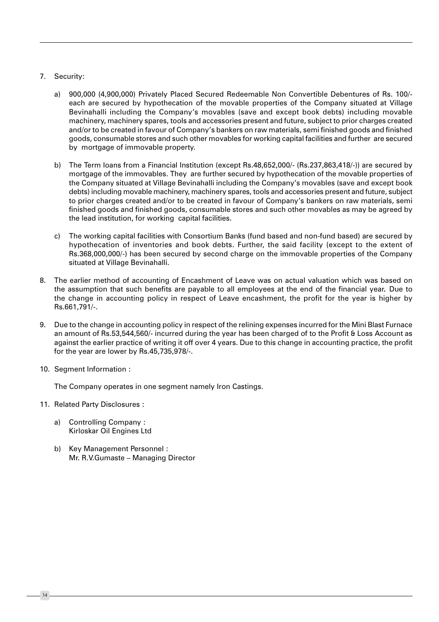### 7. Security:

- a) 900,000 (4,900,000) Privately Placed Secured Redeemable Non Convertible Debentures of Rs. 100/each are secured by hypothecation of the movable properties of the Company situated at Village Bevinahalli including the Company's movables (save and except book debts) including movable machinery, machinery spares, tools and accessories present and future, subject to prior charges created and/or to be created in favour of Company's bankers on raw materials, semi finished goods and finished goods, consumable stores and such other movables for working capital facilities and further are secured by mortgage of immovable property.
- b) The Term loans from a Financial Institution (except Rs.48,652,000/- (Rs.237,863,418/-)) are secured by mortgage of the immovables. They are further secured by hypothecation of the movable properties of the Company situated at Village Bevinahalli including the Company's movables (save and except book debts) including movable machinery, machinery spares, tools and accessories present and future, subject to prior charges created and/or to be created in favour of Company's bankers on raw materials, semi finished goods and finished goods, consumable stores and such other movables as may be agreed by the lead institution, for working capital facilities.
- c) The working capital facilities with Consortium Banks (fund based and non-fund based) are secured by hypothecation of inventories and book debts. Further, the said facility (except to the extent of Rs.368,000,000/-) has been secured by second charge on the immovable properties of the Company situated at Village Bevinahalli.
- The earlier method of accounting of Encashment of Leave was on actual valuation which was based on  $8<sub>1</sub>$ the assumption that such benefits are payable to all employees at the end of the financial year. Due to the change in accounting policy in respect of Leave encashment, the profit for the year is higher by Rs.661.791/-.
- 9. Due to the change in accounting policy in respect of the relining expenses incurred for the Mini Blast Furnace an amount of Rs.53,544,560/- incurred during the year has been charged of to the Profit & Loss Account as against the earlier practice of writing it off over 4 years. Due to this change in accounting practice, the profit for the year are lower by Rs.45,735,978/-.
- 10. Segment Information :

The Company operates in one segment namely Iron Castings.

- 11. Related Party Disclosures :
	- a) Controlling Company: Kirloskar Oil Engines Ltd
	- b) Key Management Personnel: Mr. R.V.Gumaste - Managing Director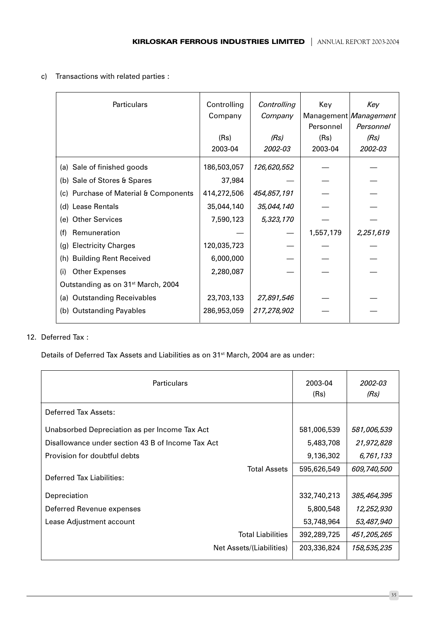c) Transactions with related parties :

| Particulars                                    | Controlling<br>Company | Controlling<br>Company | Key       | Key<br>Management Management |
|------------------------------------------------|------------------------|------------------------|-----------|------------------------------|
|                                                |                        |                        | Personnel | Personnel                    |
|                                                | (Rs)                   | (Rs)                   | (Rs)      | (Rs)                         |
|                                                | 2003-04                | 2002-03                | 2003-04   | 2002-03                      |
| (a) Sale of finished goods                     | 186,503,057            | 126,620,552            |           |                              |
| (b) Sale of Stores & Spares                    | 37,984                 |                        |           |                              |
| (c) Purchase of Material & Components          | 414,272,506            | 454,857,191            |           |                              |
| (d) Lease Rentals                              | 35,044,140             | 35,044,140             |           |                              |
| <b>Other Services</b><br>(e)                   | 7,590,123              | 5,323,170              |           |                              |
| (f)<br>Remuneration                            |                        |                        | 1,557,179 | 2,251,619                    |
| <b>Electricity Charges</b><br>(g)              | 120,035,723            |                        |           |                              |
| <b>Building Rent Received</b><br>(h)           | 6,000,000              |                        |           |                              |
| <b>Other Expenses</b><br>(i)                   | 2,280,087              |                        |           |                              |
| Outstanding as on 31 <sup>st</sup> March, 2004 |                        |                        |           |                              |
| (a) Outstanding Receivables                    | 23,703,133             | 27,891,546             |           |                              |
| (b) Outstanding Payables                       | 286,953,059            | 217,278,902            |           |                              |

# 12. Deferred Tax:

Details of Deferred Tax Assets and Liabilities as on 31<sup>st</sup> March, 2004 are as under:

| <b>Particulars</b>                                | 2003-04<br>(Rs) | 2002-03<br>(Rs) |
|---------------------------------------------------|-----------------|-----------------|
| Deferred Tax Assets:                              |                 |                 |
| Unabsorbed Depreciation as per Income Tax Act     | 581,006,539     | 581,006,539     |
| Disallowance under section 43 B of Income Tax Act | 5,483,708       | 21,972,828      |
| Provision for doubtful debts                      | 9,136,302       | 6,761,133       |
| <b>Total Assets</b>                               | 595,626,549     | 609,740,500     |
| Deferred Tax Liabilities:                         |                 |                 |
| Depreciation                                      | 332,740,213     | 385,464,395     |
| Deferred Revenue expenses                         | 5,800,548       | 12,252,930      |
| Lease Adjustment account                          | 53,748,964      | 53,487,940      |
| <b>Total Liabilities</b>                          | 392,289,725     | 451,205,265     |
| Net Assets/(Liabilities)                          | 203,336,824     | 158,535,235     |

 $-35 -$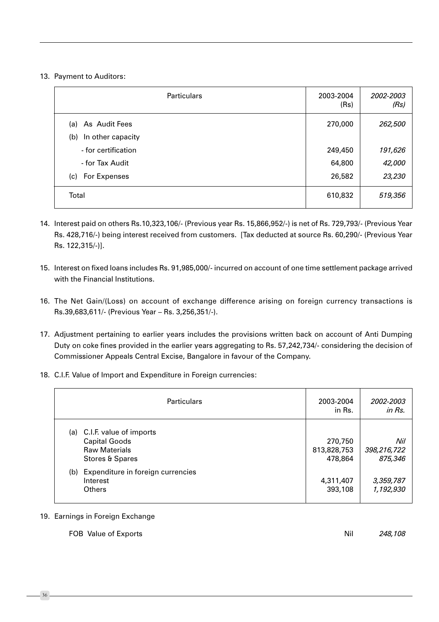13. Payment to Auditors:

| <b>Particulars</b>       | 2003-2004<br>(Rs) | 2002-2003<br>(Rs) |
|--------------------------|-------------------|-------------------|
| As Audit Fees<br>(a)     | 270,000           | 262,500           |
| In other capacity<br>(b) |                   |                   |
| - for certification      | 249,450           | 191,626           |
| - for Tax Audit          | 64,800            | 42,000            |
| For Expenses<br>(c)      | 26,582            | 23,230            |
| Total                    | 610,832           | 519,356           |

- 14. Interest paid on others Rs.10,323,106/- (Previous year Rs. 15,866,952/-) is net of Rs. 729,793/- (Previous Year Rs. 428,716/-) being interest received from customers. [Tax deducted at source Rs. 60,290/- (Previous Year Rs. 122,315/-)].
- 15. Interest on fixed loans includes Rs. 91,985,000/- incurred on account of one time settlement package arrived with the Financial Institutions.
- 16. The Net Gain/(Loss) on account of exchange difference arising on foreign currency transactions is Rs.39,683,611/- (Previous Year - Rs. 3,256,351/-).
- 17. Adjustment pertaining to earlier years includes the provisions written back on account of Anti Dumping Duty on coke fines provided in the earlier years aggregating to Rs. 57,242,734/- considering the decision of Commissioner Appeals Central Excise, Bangalore in favour of the Company.
- 18. C.I.F. Value of Import and Expenditure in Foreign currencies:

| <b>Particulars</b>                                                                                | 2003-2004<br>in Rs.               | 2002-2003<br>in Rs.           |
|---------------------------------------------------------------------------------------------------|-----------------------------------|-------------------------------|
| C.I.F. value of imports<br>(a)<br><b>Capital Goods</b><br><b>Raw Materials</b><br>Stores & Spares | 270,750<br>813,828,753<br>478,864 | Nil<br>398,216,722<br>875,346 |
| Expenditure in foreign currencies<br>(b)<br>Interest<br><b>Others</b>                             | 4,311,407<br>393,108              | 3,359,787<br>1,192,930        |

### 19. Earnings in Foreign Exchange

Nil FOB Value of Exports 248,108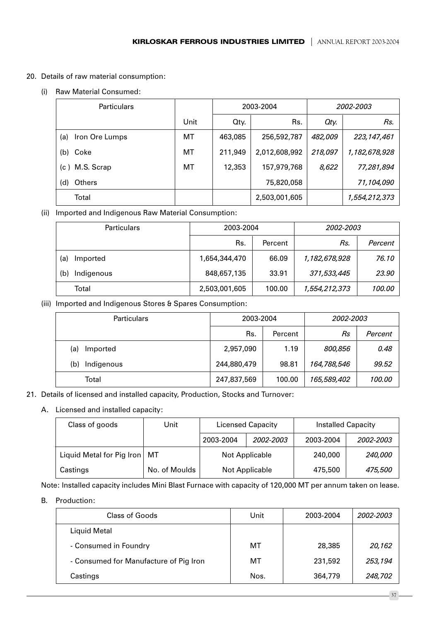- 20. Details of raw material consumption:
	- (i) Raw Material Consumed:

| <b>Particulars</b>    |           | 2003-2004 |               |         | 2002-2003     |
|-----------------------|-----------|-----------|---------------|---------|---------------|
|                       | Unit      | Qty.      | Rs.           | Oty.    | Rs.           |
| Iron Ore Lumps<br>(a) | МT        | 463,085   | 256,592,787   | 482,009 | 223, 147, 461 |
| Coke<br>(b)           | <b>MT</b> | 211,949   | 2,012,608,992 | 218,097 | 1,182,678,928 |
| M.S. Scrap<br>(c)     | МT        | 12,353    | 157,979,768   | 8,622   | 77,281,894    |
| (d)<br><b>Others</b>  |           |           | 75,820,058    |         | 71,104,090    |
| Total                 |           |           | 2,503,001,605 |         | 1,554,212,373 |

(ii) Imported and Indigenous Raw Material Consumption:

| <b>Particulars</b> | 2003-2004     |         | 2002-2003     |         |
|--------------------|---------------|---------|---------------|---------|
|                    | Rs.           | Percent | Rs.           | Percent |
| (a)<br>Imported    | 1,654,344,470 | 66.09   | 1,182,678,928 | 76.10   |
| (b)<br>Indigenous  | 848,657,135   | 33.91   | 371,533,445   | 23.90   |
| Total              | 2,503,001,605 | 100.00  | 1,554,212,373 | 100.00  |

(iii) Imported and Indigenous Stores & Spares Consumption:

| <b>Particulars</b> | 2003-2004   |         | 2002-2003   |         |
|--------------------|-------------|---------|-------------|---------|
|                    | Rs.         | Percent | Rs          | Percent |
| Imported<br>(a)    | 2,957,090   | 1.19    | 800,856     | 0.48    |
| Indigenous<br>(b)  | 244,880,479 | 98.81   | 164,788,546 | 99.52   |
| Total              | 247,837,569 | 100.00  | 165,589,402 | 100.00  |

21. Details of licensed and installed capacity, Production, Stocks and Turnover:

# A. Licensed and installed capacity:

| Class of goods            | Jnit          | <b>Licensed Capacity</b> |  | <b>Installed Capacity</b> |           |
|---------------------------|---------------|--------------------------|--|---------------------------|-----------|
|                           |               | 2003-2004<br>2002-2003   |  | 2003-2004                 | 2002-2003 |
| Liquid Metal for Pig Iron | МT            | Not Applicable           |  | 240,000                   | 240,000   |
| Castings                  | No. of Moulds | Not Applicable           |  | 475,500                   | 475,500   |

Note: Installed capacity includes Mini Blast Furnace with capacity of 120,000 MT per annum taken on lease.

B. Production:

| Class of Goods                         | Unit | 2003-2004 | 2002-2003 |
|----------------------------------------|------|-----------|-----------|
| Liquid Metal                           |      |           |           |
| - Consumed in Foundry                  | MТ   | 28,385    | 20,162    |
| - Consumed for Manufacture of Pig Iron | МT   | 231,592   | 253,194   |
| Castings                               | Nos. | 364,779   | 248,702   |

 $37$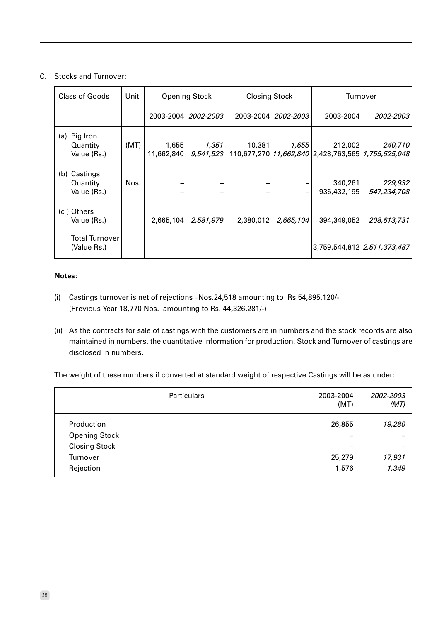# C. Stocks and Turnover:

| <b>Class of Goods</b>                      | Unit |                     | <b>Opening Stock</b>  |           | <b>Closing Stock</b>  |                                                                     | Turnover                    |
|--------------------------------------------|------|---------------------|-----------------------|-----------|-----------------------|---------------------------------------------------------------------|-----------------------------|
|                                            |      |                     | 2003-2004   2002-2003 |           | 2003-2004   2002-2003 | 2003-2004                                                           | 2002-2003                   |
| (a) Pig Iron<br>Quantity<br>Value (Rs.)    | (MT) | 1,655<br>11,662,840 | 1,351<br>9,541,523    | 10,381    | 1,655                 | 212,002<br>110,677,270   11,662,840   2,428,763,565   1,755,525,048 | 240,710                     |
| Castings<br>(b)<br>Quantity<br>Value (Rs.) | Nos. |                     |                       |           |                       | 340,261<br>936,432,195                                              | 229,932<br>547,234,708      |
| (c) Others<br>Value (Rs.)                  |      | 2,665,104           | 2,581,979             | 2,380,012 | 2,665,104             | 394,349,052                                                         | 208,613,731                 |
| <b>Total Turnover</b><br>(Value Rs.)       |      |                     |                       |           |                       |                                                                     | 3,759,544,812 2,511,373,487 |

### Notes:

- (i) Castings turnover is net of rejections -Nos.24,518 amounting to Rs.54,895,120/-(Previous Year 18,770 Nos. amounting to Rs. 44,326,281/-)
- (ii) As the contracts for sale of castings with the customers are in numbers and the stock records are also maintained in numbers, the quantitative information for production, Stock and Turnover of castings are disclosed in numbers.

The weight of these numbers if converted at standard weight of respective Castings will be as under:

| Particulars                                                            | 2003-2004<br>(MT) | 2002-2003<br>(MT) |
|------------------------------------------------------------------------|-------------------|-------------------|
| Production<br><b>Opening Stock</b><br><b>Closing Stock</b><br>Turnover | 26,855<br>25,279  | 19,280<br>17,931  |
| Rejection                                                              | 1,576             | 1,349             |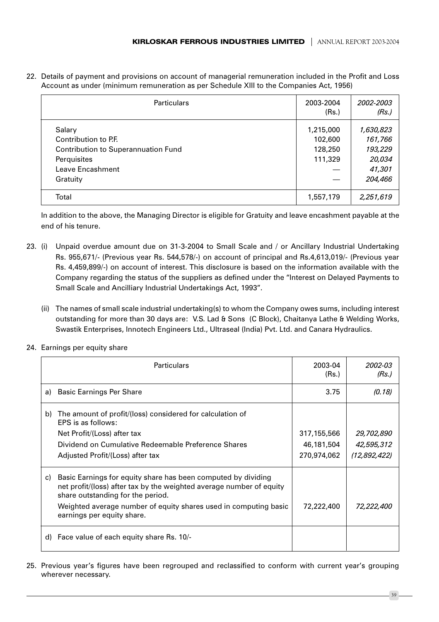22. Details of payment and provisions on account of managerial remuneration included in the Profit and Loss Account as under (minimum remuneration as per Schedule XIII to the Companies Act, 1956)

| <b>Particulars</b>                                                                                                          | 2003-2004<br>(Rs.)                         | 2002-2003<br>(Rs.)                                             |
|-----------------------------------------------------------------------------------------------------------------------------|--------------------------------------------|----------------------------------------------------------------|
| Salary<br>Contribution to P.F.<br><b>Contribution to Superannuation Fund</b><br>Perquisites<br>Leave Encashment<br>Gratuity | 1,215,000<br>102,600<br>128,250<br>111,329 | 1,630,823<br>161,766<br>193,229<br>20,034<br>41,301<br>204,466 |
| Total                                                                                                                       | 1,557,179                                  | 2,251,619                                                      |

In addition to the above, the Managing Director is eligible for Gratuity and leave encashment payable at the end of his tenure.

- 23. (i) Unpaid overdue amount due on 31-3-2004 to Small Scale and / or Ancillary Industrial Undertaking Rs. 955,671/- (Previous year Rs. 544,578/-) on account of principal and Rs.4,613,019/- (Previous year Rs. 4,459,899/-) on account of interest. This disclosure is based on the information available with the Company regarding the status of the suppliers as defined under the "Interest on Delayed Payments to Small Scale and Ancilliary Industrial Undertakings Act, 1993".
	- (ii) The names of small scale industrial undertaking(s) to whom the Company owes sums, including interest outstanding for more than 30 days are: V.S. Lad & Sons (C Block), Chaitanya Lathe & Welding Works, Swastik Enterprises, Innotech Engineers Ltd., Ultraseal (India) Pyt. Ltd. and Canara Hydraulics.
- 24. Earnings per equity share

|    | <b>Particulars</b>                                                                                                                                                         | 2003-04<br>(Rs.) | 2002-03<br>(Rs.)  |
|----|----------------------------------------------------------------------------------------------------------------------------------------------------------------------------|------------------|-------------------|
| a) | <b>Basic Earnings Per Share</b>                                                                                                                                            | 3.75             | (0.18)            |
| b) | The amount of profit/(loss) considered for calculation of<br>EPS is as follows:                                                                                            |                  |                   |
|    | Net Profit/(Loss) after tax                                                                                                                                                | 317,155,566      | <i>29,702,890</i> |
|    | Dividend on Cumulative Redeemable Preference Shares                                                                                                                        | 46,181,504       | 42,595,312        |
|    | Adjusted Profit/(Loss) after tax                                                                                                                                           | 270,974,062      | (12,892,422)      |
| C) | Basic Earnings for equity share has been computed by dividing<br>net profit/(loss) after tax by the weighted average number of equity<br>share outstanding for the period. |                  |                   |
|    | Weighted average number of equity shares used in computing basic<br>earnings per equity share.                                                                             | 72,222,400       | 72,222,400        |
| d) | Face value of each equity share Rs. 10/-                                                                                                                                   |                  |                   |

25. Previous year's figures have been regrouped and reclassified to conform with current year's grouping wherever necessary.

39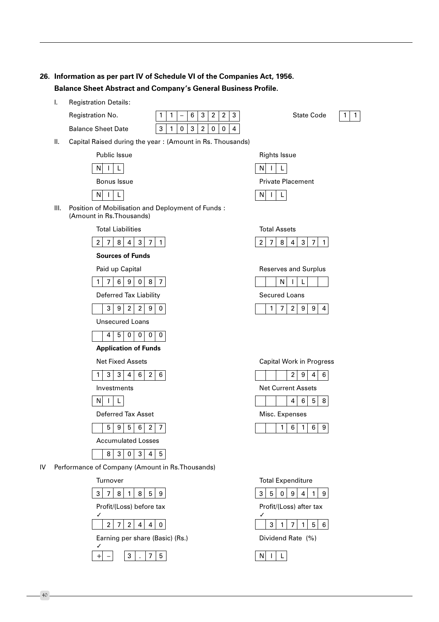# 26. Information as per part IV of Schedule VI of the Companies Act, 1956. **Balance Sheet Abstract and Company's General Business Profile.**

 $\overline{L}$ **Registration Details:** Registration No.

**Balance Sheet Date** 

|  |         | $\sqrt{6}$ 3 2 2 3 |  |  |
|--|---------|--------------------|--|--|
|  | 0 3 2 0 |                    |  |  |

**State Code** 



II. Capital Raised during the year: (Amount in Rs. Thousands)



**Rights Issue**  $N$  $|$   $|$   $|$   $|$   $|$ **Private Placement** 



III. Position of Mobilisation and Deployment of Funds: (Amount in Rs. Thousands)





| Reserves and Surplus |  |   |  |
|----------------------|--|---|--|
|                      |  |   |  |
| Secured Loans        |  |   |  |
|                      |  | g |  |

| <b>Capital Work in Progress</b> |   |                 |   |   |  |
|---------------------------------|---|-----------------|---|---|--|
|                                 |   | $2 \mid 9 \mid$ | 4 | 6 |  |
| Net Current Assets              |   |                 |   |   |  |
|                                 |   | 4   6   5       |   | 8 |  |
| Misc. Expenses                  |   |                 |   |   |  |
|                                 | 6 | 1 <sub>1</sub>  | 6 |   |  |
|                                 |   |                 |   |   |  |





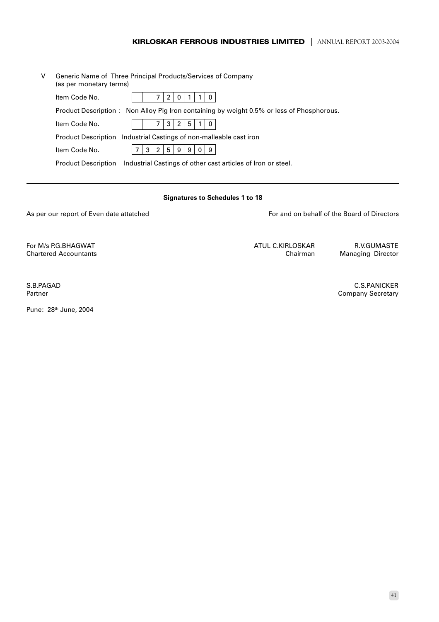# **KIRLOSKAR FERROUS INDUSTRIES LIMITED** | ANNUAL REPORT 2003-2004

| V | Generic Name of Three Principal Products/Services of Company<br>(as per monetary terms)    |
|---|--------------------------------------------------------------------------------------------|
|   | Item Code No.<br>0                                                                         |
|   | Product Description: Non Alloy Pig Iron containing by weight 0.5% or less of Phosphorous.  |
|   | 5<br>Item Code No.<br>2                                                                    |
|   | Product Description Industrial Castings of non-malleable cast iron                         |
|   | 9 <sub>1</sub><br>3<br>2<br>5<br>9<br>$\Omega$<br>9<br>Item Code No.                       |
|   | Industrial Castings of other cast articles of Iron or steel.<br><b>Product Description</b> |

#### **Signatures to Schedules 1 to 18**

As per our report of Even date attatched

For and on behalf of the Board of Directors

For M/s P.G.BHAGWAT **Chartered Accountants**  ATUL C.KIRLOSKAR Chairman

R.V.GUMASTE Managing Director

S.B.PAGAD Partner

Pune: 28<sup>th</sup> June, 2004

**C.S.PANICKER Company Secretary** 

 $-41 -$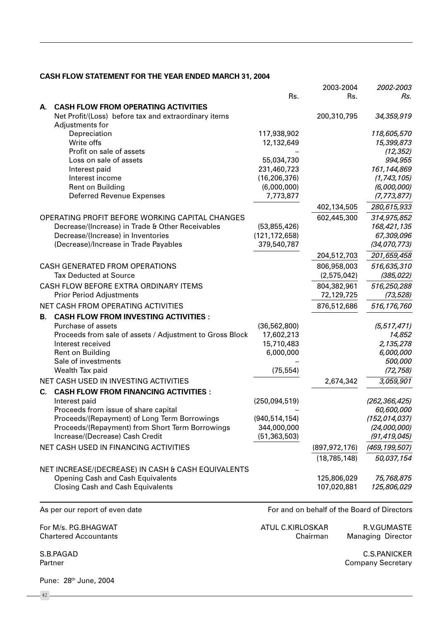# CASH FLOW STATEMENT FOR THE YEAR ENDED MARCH 31, 2004

|    |                                                                                      |                 | 2003-2004                                   | 2002-2003                 |
|----|--------------------------------------------------------------------------------------|-----------------|---------------------------------------------|---------------------------|
|    |                                                                                      | Rs.             | Rs.                                         | Rs.                       |
| А. | <b>CASH FLOW FROM OPERATING ACTIVITIES</b>                                           |                 |                                             |                           |
|    | Net Profit/(Loss) before tax and extraordinary items                                 |                 | 200,310,795                                 | 34,359,919                |
|    | Adjustments for                                                                      |                 |                                             |                           |
|    | Depreciation                                                                         | 117,938,902     |                                             | 118,605,570               |
|    | Write offs                                                                           | 12,132,649      |                                             | 15,399,873                |
|    | Profit on sale of assets                                                             |                 |                                             | (12, 352)                 |
|    | Loss on sale of assets                                                               | 55,034,730      |                                             | 994,955                   |
|    | Interest paid                                                                        | 231,460,723     |                                             | 161,144,869               |
|    | Interest income                                                                      | (16, 206, 376)  |                                             | (1, 743, 105)             |
|    | Rent on Building                                                                     | (6,000,000)     |                                             | (6,000,000)               |
|    | <b>Deferred Revenue Expenses</b>                                                     | 7,773,877       |                                             | (7, 773, 877)             |
|    |                                                                                      |                 | 402,134,505                                 | 280,615,933               |
|    | OPERATING PROFIT BEFORE WORKING CAPITAL CHANGES                                      |                 | 602,445,300                                 | 314,975,852               |
|    | Decrease/(Increase) in Trade & Other Receivables                                     | (53,855,426)    |                                             | 168,421,135               |
|    | Decrease/(Increase) in Inventories                                                   | (121, 172, 658) |                                             | 67,309,096                |
|    | (Decrease)/Increase in Trade Payables                                                | 379,540,787     |                                             | (34,070,773)              |
|    |                                                                                      |                 | 204,512,703                                 | 201,659,458               |
|    | <b>CASH GENERATED FROM OPERATIONS</b>                                                |                 | 806,958,003                                 | 516,635,310               |
|    | <b>Tax Deducted at Source</b>                                                        |                 | (2,575,042)                                 | (385, 022)                |
|    | CASH FLOW BEFORE EXTRA ORDINARY ITEMS                                                |                 | 804,382,961                                 | 516,250,288               |
|    | <b>Prior Period Adjustments</b>                                                      |                 | 72,129,725                                  | (73, 528)                 |
|    | NET CASH FROM OPERATING ACTIVITIES                                                   |                 | 876,512,686                                 | 516,176,760               |
| В. | <b>CASH FLOW FROM INVESTING ACTIVITIES :</b>                                         |                 |                                             |                           |
|    | Purchase of assets                                                                   | (36, 562, 800)  |                                             | (5, 517, 471)             |
|    | Proceeds from sale of assets / Adjustment to Gross Block                             | 17,602,213      |                                             | 14,852                    |
|    | Interest received                                                                    | 15,710,483      |                                             | 2,135,278                 |
|    | Rent on Building                                                                     | 6,000,000       |                                             | 6,000,000                 |
|    | Sale of investments                                                                  |                 |                                             | 500,000                   |
|    | Wealth Tax paid                                                                      | (75, 554)       |                                             | (72, 758)                 |
|    | NET CASH USED IN INVESTING ACTIVITIES                                                |                 | 2,674,342                                   | 3,059,901                 |
| C. | <b>CASH FLOW FROM FINANCING ACTIVITIES:</b>                                          |                 |                                             |                           |
|    | Interest paid                                                                        | (250,094,519)   |                                             | (262,366,425)             |
|    | Proceeds from issue of share capital                                                 |                 |                                             | 60,600,000                |
|    | Proceeds/(Repayment) of Long Term Borrowings                                         | (940, 514, 154) |                                             | (152, 014, 037)           |
|    | Proceeds/(Repayment) from Short Term Borrowings                                      | 344,000,000     |                                             | (24,000,000)              |
|    | Increase/(Decrease) Cash Credit                                                      | (51, 363, 503)  |                                             | (91, 419, 045)            |
|    | NET CASH USED IN FINANCING ACTIVITIES                                                |                 | (897, 972, 176)                             | (469, 199, 507)           |
|    |                                                                                      |                 | (18, 785, 148)                              | 50,037,154                |
|    |                                                                                      |                 |                                             |                           |
|    | NET INCREASE/(DECREASE) IN CASH & CASH EQUIVALENTS                                   |                 |                                             |                           |
|    | <b>Opening Cash and Cash Equivalents</b><br><b>Closing Cash and Cash Equivalents</b> |                 | 125,806,029<br>107,020,881                  | 75,768,875<br>125,806,029 |
|    |                                                                                      |                 |                                             |                           |
|    |                                                                                      |                 |                                             |                           |
|    | As per our report of even date                                                       |                 | For and on behalf of the Board of Directors |                           |

For M/s. P.G.BHAGWAT **Chartered Accountants**  ATUL C.KIRLOSKAR R.V.GUMASTE Chairman Managing Director

S.B.PAGAD Partner

 $-42$ 

Pune: 28th June, 2004

**C.S.PANICKER Company Secretary**